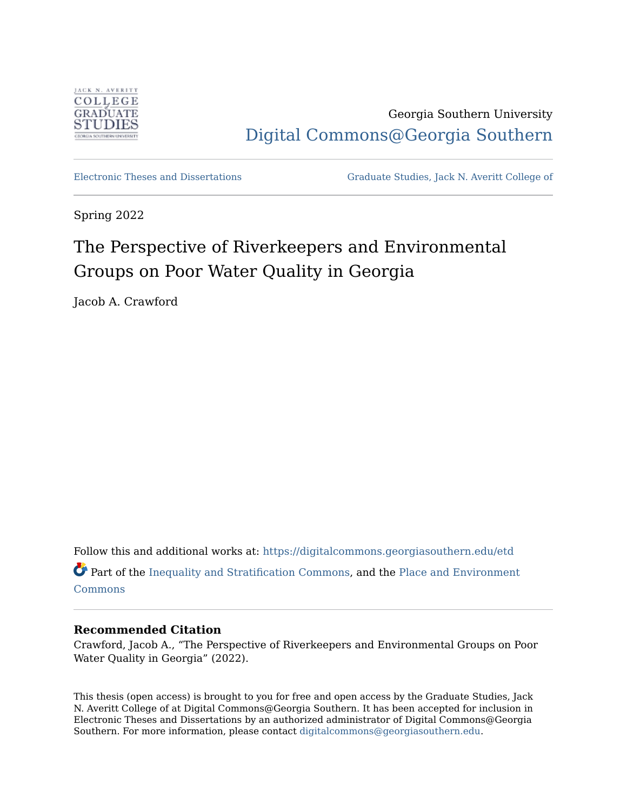

Georgia Southern University [Digital Commons@Georgia Southern](https://digitalcommons.georgiasouthern.edu/) 

[Electronic Theses and Dissertations](https://digitalcommons.georgiasouthern.edu/etd) [Graduate Studies, Jack N. Averitt College of](https://digitalcommons.georgiasouthern.edu/cogs) 

Spring 2022

# The Perspective of Riverkeepers and Environmental Groups on Poor Water Quality in Georgia

Jacob A. Crawford

Follow this and additional works at: [https://digitalcommons.georgiasouthern.edu/etd](https://digitalcommons.georgiasouthern.edu/etd?utm_source=digitalcommons.georgiasouthern.edu%2Fetd%2F2378&utm_medium=PDF&utm_campaign=PDFCoverPages)  Part of the [Inequality and Stratification Commons,](http://network.bepress.com/hgg/discipline/421?utm_source=digitalcommons.georgiasouthern.edu%2Fetd%2F2378&utm_medium=PDF&utm_campaign=PDFCoverPages) and the [Place and Environment](http://network.bepress.com/hgg/discipline/424?utm_source=digitalcommons.georgiasouthern.edu%2Fetd%2F2378&utm_medium=PDF&utm_campaign=PDFCoverPages)  [Commons](http://network.bepress.com/hgg/discipline/424?utm_source=digitalcommons.georgiasouthern.edu%2Fetd%2F2378&utm_medium=PDF&utm_campaign=PDFCoverPages)

# **Recommended Citation**

Crawford, Jacob A., "The Perspective of Riverkeepers and Environmental Groups on Poor Water Quality in Georgia" (2022).

This thesis (open access) is brought to you for free and open access by the Graduate Studies, Jack N. Averitt College of at Digital Commons@Georgia Southern. It has been accepted for inclusion in Electronic Theses and Dissertations by an authorized administrator of Digital Commons@Georgia Southern. For more information, please contact [digitalcommons@georgiasouthern.edu](mailto:digitalcommons@georgiasouthern.edu).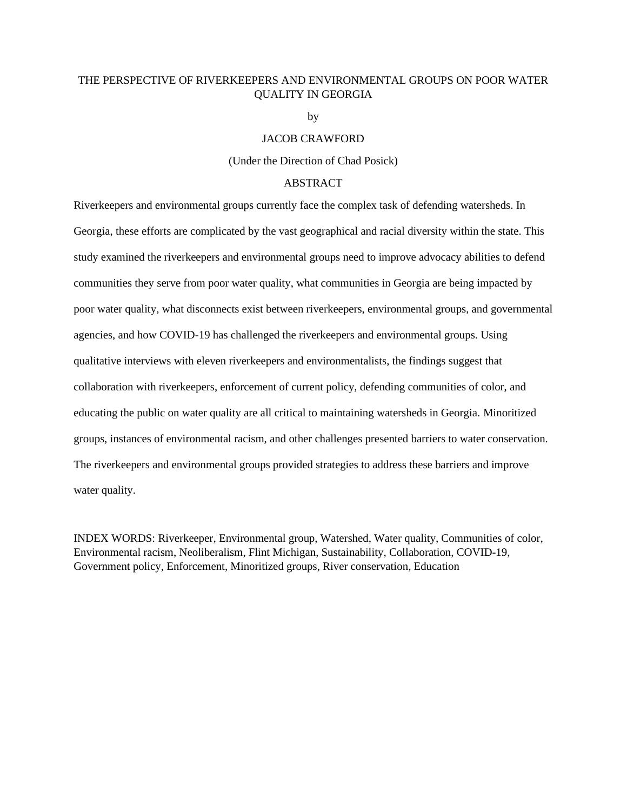# THE PERSPECTIVE OF RIVERKEEPERS AND ENVIRONMENTAL GROUPS ON POOR WATER QUALITY IN GEORGIA

by

# JACOB CRAWFORD

(Under the Direction of Chad Posick)

# ABSTRACT

Riverkeepers and environmental groups currently face the complex task of defending watersheds. In Georgia, these efforts are complicated by the vast geographical and racial diversity within the state. This study examined the riverkeepers and environmental groups need to improve advocacy abilities to defend communities they serve from poor water quality, what communities in Georgia are being impacted by poor water quality, what disconnects exist between riverkeepers, environmental groups, and governmental agencies, and how COVID-19 has challenged the riverkeepers and environmental groups. Using qualitative interviews with eleven riverkeepers and environmentalists, the findings suggest that collaboration with riverkeepers, enforcement of current policy, defending communities of color, and educating the public on water quality are all critical to maintaining watersheds in Georgia. Minoritized groups, instances of environmental racism, and other challenges presented barriers to water conservation. The riverkeepers and environmental groups provided strategies to address these barriers and improve water quality.

INDEX WORDS: Riverkeeper, Environmental group, Watershed, Water quality, Communities of color, Environmental racism, Neoliberalism, Flint Michigan, Sustainability, Collaboration, COVID-19, Government policy, Enforcement, Minoritized groups, River conservation, Education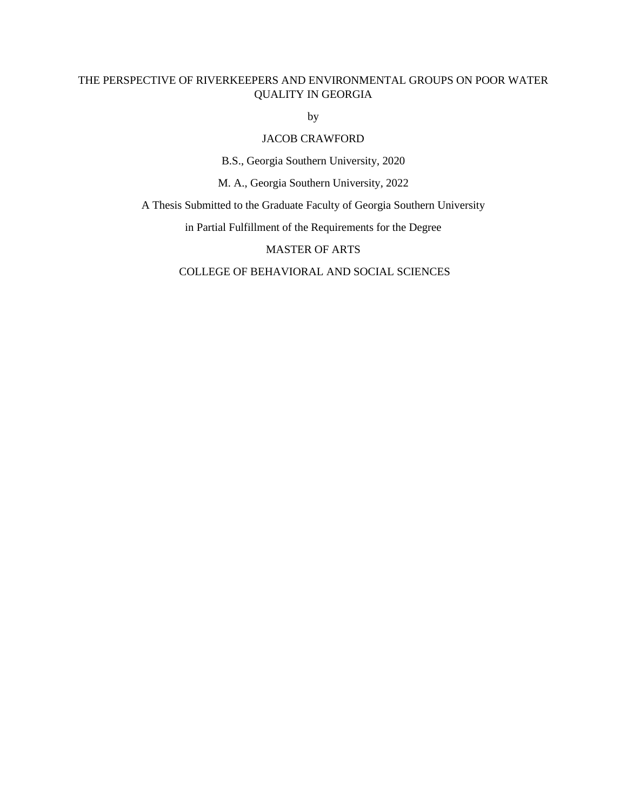# THE PERSPECTIVE OF RIVERKEEPERS AND ENVIRONMENTAL GROUPS ON POOR WATER QUALITY IN GEORGIA

by

# JACOB CRAWFORD

B.S., Georgia Southern University, 2020

M. A., Georgia Southern University, 2022

A Thesis Submitted to the Graduate Faculty of Georgia Southern University

in Partial Fulfillment of the Requirements for the Degree

MASTER OF ARTS

COLLEGE OF BEHAVIORAL AND SOCIAL SCIENCES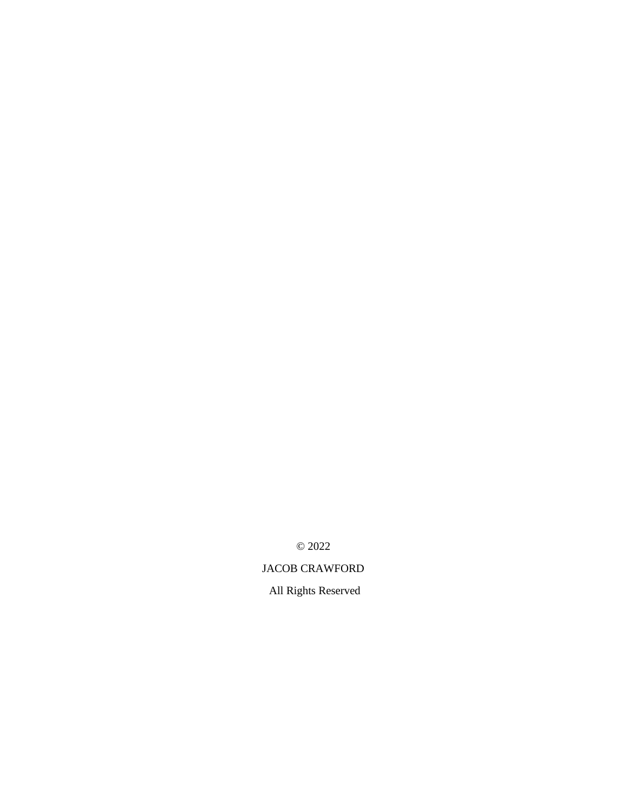© 2022

# JACOB CRAWFORD

All Rights Reserved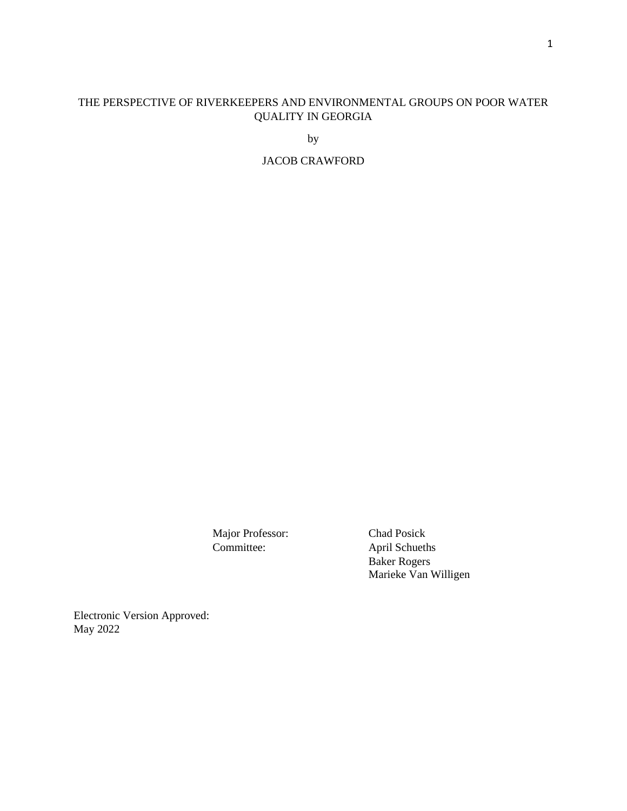# THE PERSPECTIVE OF RIVERKEEPERS AND ENVIRONMENTAL GROUPS ON POOR WATER QUALITY IN GEORGIA

by

JACOB CRAWFORD

Major Professor: Chad Posick

Committee: April Schueths Baker Rogers Marieke Van Willigen

Electronic Version Approved: May 2022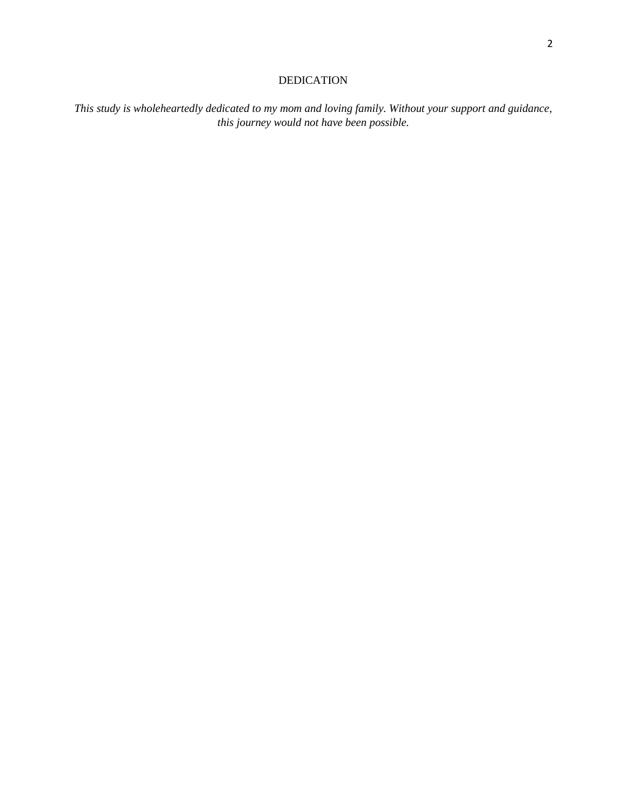# DEDICATION

*This study is wholeheartedly dedicated to my mom and loving family. Without your support and guidance, this journey would not have been possible.*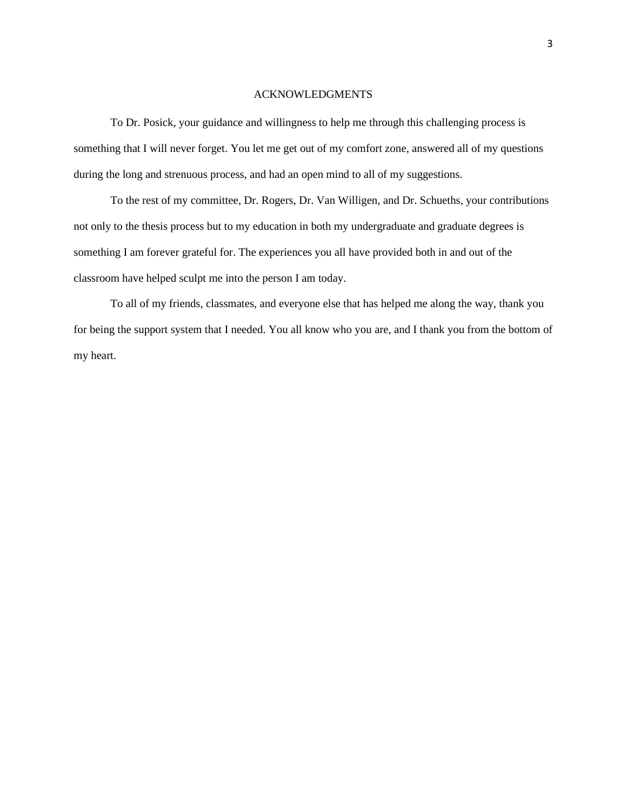#### ACKNOWLEDGMENTS

 To Dr. Posick, your guidance and willingness to help me through this challenging process is something that I will never forget. You let me get out of my comfort zone, answered all of my questions during the long and strenuous process, and had an open mind to all of my suggestions.

 To the rest of my committee, Dr. Rogers, Dr. Van Willigen, and Dr. Schueths, your contributions not only to the thesis process but to my education in both my undergraduate and graduate degrees is something I am forever grateful for. The experiences you all have provided both in and out of the classroom have helped sculpt me into the person I am today.

 To all of my friends, classmates, and everyone else that has helped me along the way, thank you for being the support system that I needed. You all know who you are, and I thank you from the bottom of my heart.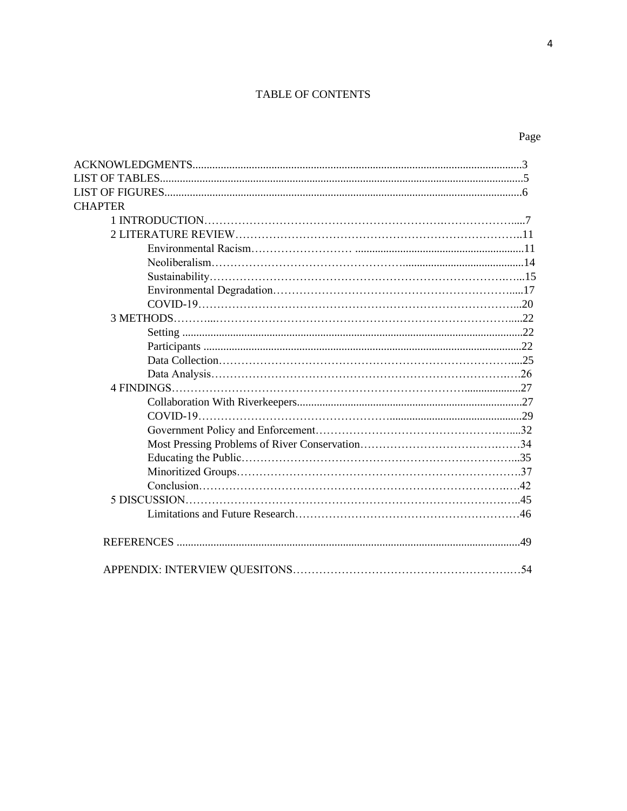# TABLE OF CONTENTS

| ×<br>٩<br>۰,<br>I<br>×<br>۰. |
|------------------------------|
|------------------------------|

| <b>CHAPTER</b> |  |
|----------------|--|
|                |  |
|                |  |
|                |  |
|                |  |
|                |  |
|                |  |
|                |  |
|                |  |
|                |  |
|                |  |
|                |  |
|                |  |
|                |  |
|                |  |
|                |  |
|                |  |
|                |  |
|                |  |
|                |  |
|                |  |
|                |  |
|                |  |
|                |  |
|                |  |
|                |  |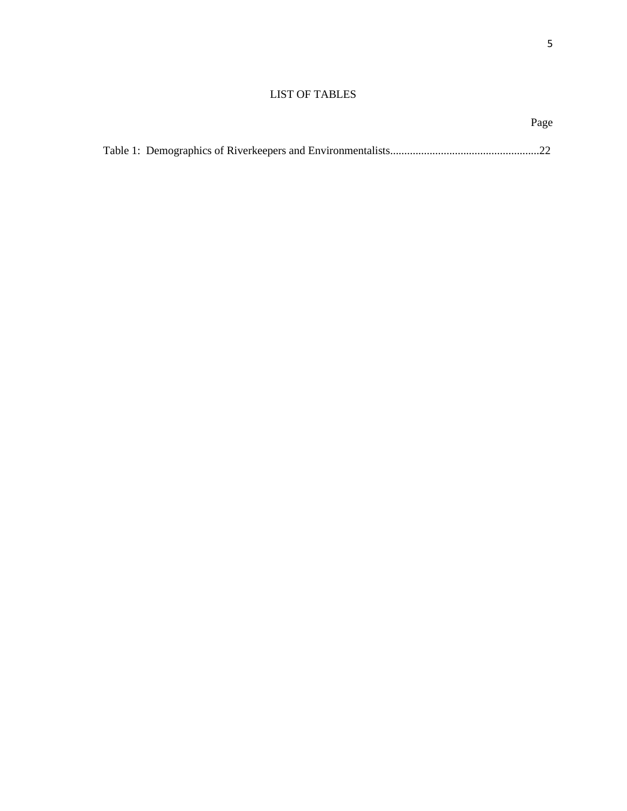# LIST OF TABLES

Page **Page**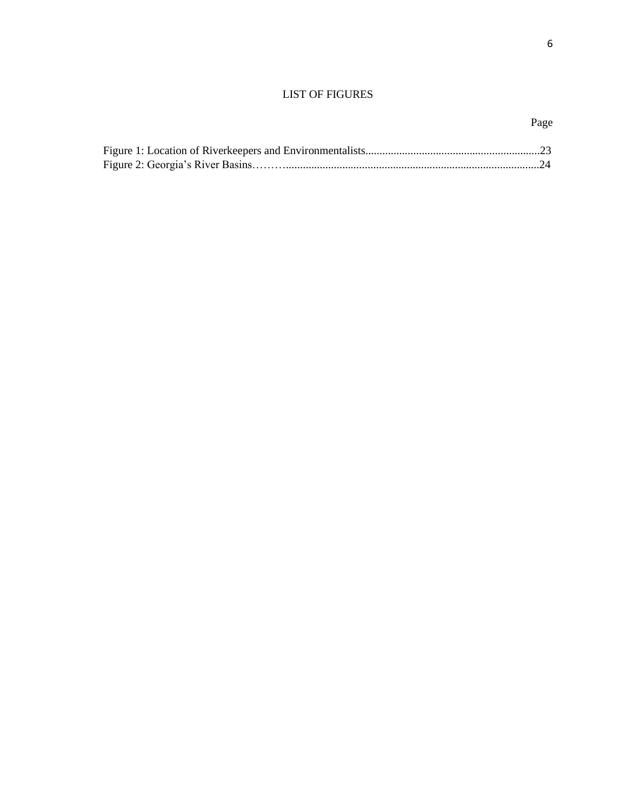# LIST OF FIGURES

# Page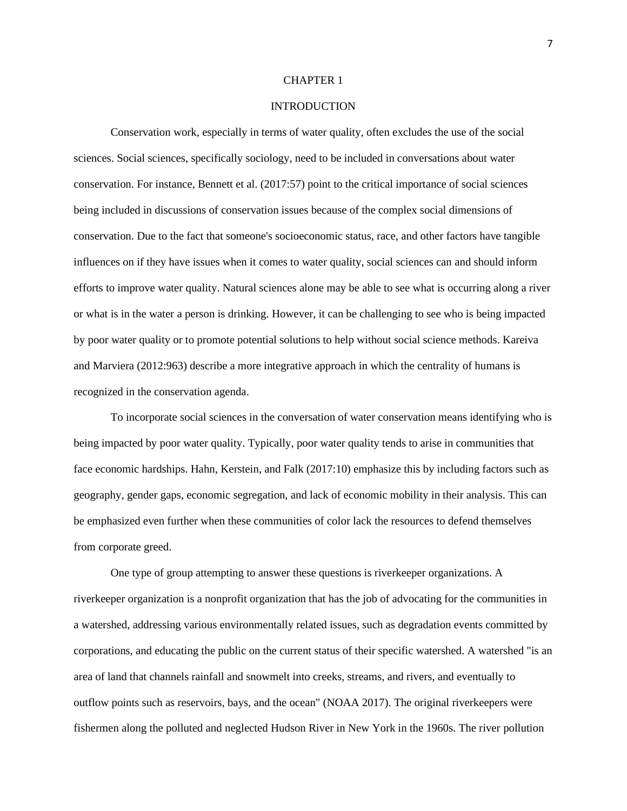#### CHAPTER 1

# **INTRODUCTION**

Conservation work, especially in terms of water quality, often excludes the use of the social sciences. Social sciences, specifically sociology, need to be included in conversations about water conservation. For instance, Bennett et al. (2017:57) point to the critical importance of social sciences being included in discussions of conservation issues because of the complex social dimensions of conservation. Due to the fact that someone's socioeconomic status, race, and other factors have tangible influences on if they have issues when it comes to water quality, social sciences can and should inform efforts to improve water quality. Natural sciences alone may be able to see what is occurring along a river or what is in the water a person is drinking. However, it can be challenging to see who is being impacted by poor water quality or to promote potential solutions to help without social science methods. Kareiva and Marviera (2012:963) describe a more integrative approach in which the centrality of humans is recognized in the conservation agenda.

To incorporate social sciences in the conversation of water conservation means identifying who is being impacted by poor water quality. Typically, poor water quality tends to arise in communities that face economic hardships. Hahn, Kerstein, and Falk (2017:10) emphasize this by including factors such as geography, gender gaps, economic segregation, and lack of economic mobility in their analysis. This can be emphasized even further when these communities of color lack the resources to defend themselves from corporate greed.

One type of group attempting to answer these questions is riverkeeper organizations. A riverkeeper organization is a nonprofit organization that has the job of advocating for the communities in a watershed, addressing various environmentally related issues, such as degradation events committed by corporations, and educating the public on the current status of their specific watershed. A watershed "is an area of land that channels rainfall and snowmelt into creeks, streams, and rivers, and eventually to outflow points such as reservoirs, bays, and the ocean" (NOAA 2017). The original riverkeepers were fishermen along the polluted and neglected Hudson River in New York in the 1960s. The river pollution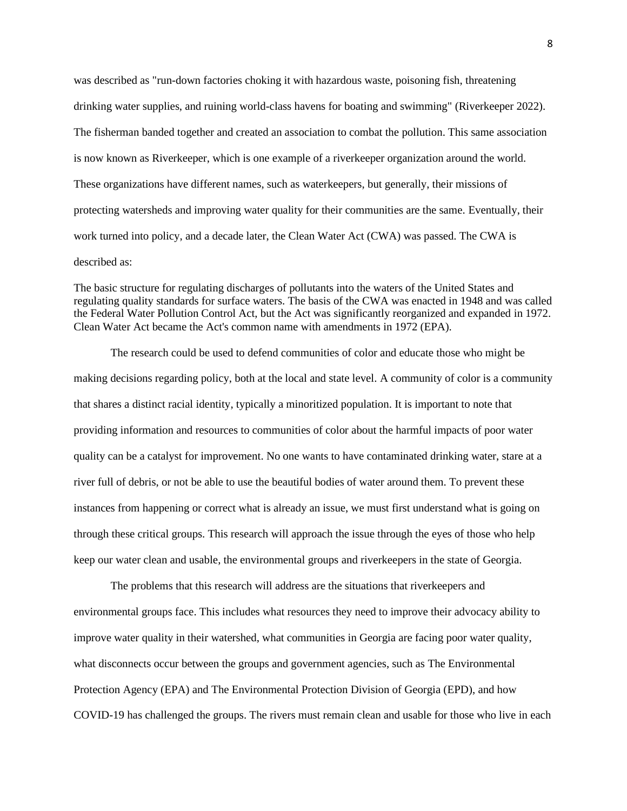was described as "run-down factories choking it with hazardous waste, poisoning fish, threatening drinking water supplies, and ruining world-class havens for boating and swimming" (Riverkeeper 2022). The fisherman banded together and created an association to combat the pollution. This same association is now known as Riverkeeper, which is one example of a riverkeeper organization around the world. These organizations have different names, such as waterkeepers, but generally, their missions of protecting watersheds and improving water quality for their communities are the same. Eventually, their work turned into policy, and a decade later, the Clean Water Act (CWA) was passed. The CWA is described as:

The basic structure for regulating discharges of pollutants into the waters of the United States and regulating quality standards for surface waters. The basis of the CWA was enacted in 1948 and was called the Federal Water Pollution Control Act, but the Act was significantly reorganized and expanded in 1972. Clean Water Act became the Act's common name with amendments in 1972 (EPA).

The research could be used to defend communities of color and educate those who might be making decisions regarding policy, both at the local and state level. A community of color is a community that shares a distinct racial identity, typically a minoritized population. It is important to note that providing information and resources to communities of color about the harmful impacts of poor water quality can be a catalyst for improvement. No one wants to have contaminated drinking water, stare at a river full of debris, or not be able to use the beautiful bodies of water around them. To prevent these instances from happening or correct what is already an issue, we must first understand what is going on through these critical groups. This research will approach the issue through the eyes of those who help keep our water clean and usable, the environmental groups and riverkeepers in the state of Georgia.

The problems that this research will address are the situations that riverkeepers and environmental groups face. This includes what resources they need to improve their advocacy ability to improve water quality in their watershed, what communities in Georgia are facing poor water quality, what disconnects occur between the groups and government agencies, such as The Environmental Protection Agency (EPA) and The Environmental Protection Division of Georgia (EPD), and how COVID-19 has challenged the groups. The rivers must remain clean and usable for those who live in each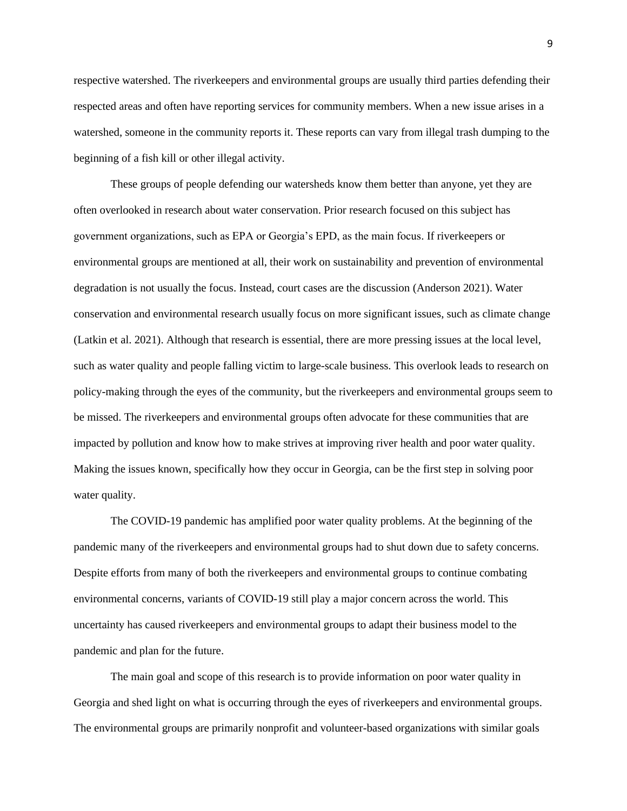respective watershed. The riverkeepers and environmental groups are usually third parties defending their respected areas and often have reporting services for community members. When a new issue arises in a watershed, someone in the community reports it. These reports can vary from illegal trash dumping to the beginning of a fish kill or other illegal activity.

These groups of people defending our watersheds know them better than anyone, yet they are often overlooked in research about water conservation. Prior research focused on this subject has government organizations, such as EPA or Georgia's EPD, as the main focus. If riverkeepers or environmental groups are mentioned at all, their work on sustainability and prevention of environmental degradation is not usually the focus. Instead, court cases are the discussion (Anderson 2021). Water conservation and environmental research usually focus on more significant issues, such as climate change (Latkin et al. 2021). Although that research is essential, there are more pressing issues at the local level, such as water quality and people falling victim to large-scale business. This overlook leads to research on policy-making through the eyes of the community, but the riverkeepers and environmental groups seem to be missed. The riverkeepers and environmental groups often advocate for these communities that are impacted by pollution and know how to make strives at improving river health and poor water quality. Making the issues known, specifically how they occur in Georgia, can be the first step in solving poor water quality.

The COVID-19 pandemic has amplified poor water quality problems. At the beginning of the pandemic many of the riverkeepers and environmental groups had to shut down due to safety concerns. Despite efforts from many of both the riverkeepers and environmental groups to continue combating environmental concerns, variants of COVID-19 still play a major concern across the world. This uncertainty has caused riverkeepers and environmental groups to adapt their business model to the pandemic and plan for the future.

The main goal and scope of this research is to provide information on poor water quality in Georgia and shed light on what is occurring through the eyes of riverkeepers and environmental groups. The environmental groups are primarily nonprofit and volunteer-based organizations with similar goals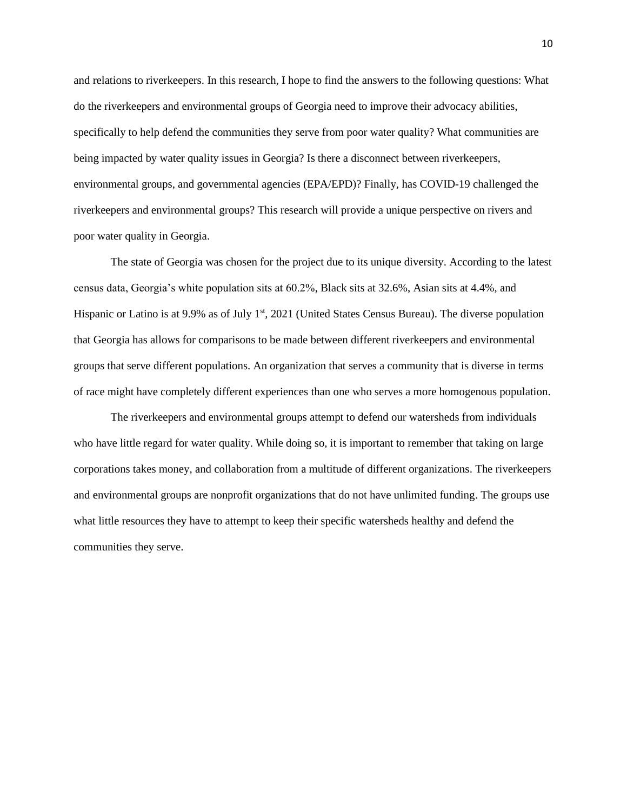and relations to riverkeepers. In this research, I hope to find the answers to the following questions: What do the riverkeepers and environmental groups of Georgia need to improve their advocacy abilities, specifically to help defend the communities they serve from poor water quality? What communities are being impacted by water quality issues in Georgia? Is there a disconnect between riverkeepers, environmental groups, and governmental agencies (EPA/EPD)? Finally, has COVID-19 challenged the riverkeepers and environmental groups? This research will provide a unique perspective on rivers and poor water quality in Georgia.

The state of Georgia was chosen for the project due to its unique diversity. According to the latest census data, Georgia's white population sits at 60.2%, Black sits at 32.6%, Asian sits at 4.4%, and Hispanic or Latino is at 9.9% as of July 1<sup>st</sup>, 2021 (United States Census Bureau). The diverse population that Georgia has allows for comparisons to be made between different riverkeepers and environmental groups that serve different populations. An organization that serves a community that is diverse in terms of race might have completely different experiences than one who serves a more homogenous population.

The riverkeepers and environmental groups attempt to defend our watersheds from individuals who have little regard for water quality. While doing so, it is important to remember that taking on large corporations takes money, and collaboration from a multitude of different organizations. The riverkeepers and environmental groups are nonprofit organizations that do not have unlimited funding. The groups use what little resources they have to attempt to keep their specific watersheds healthy and defend the communities they serve.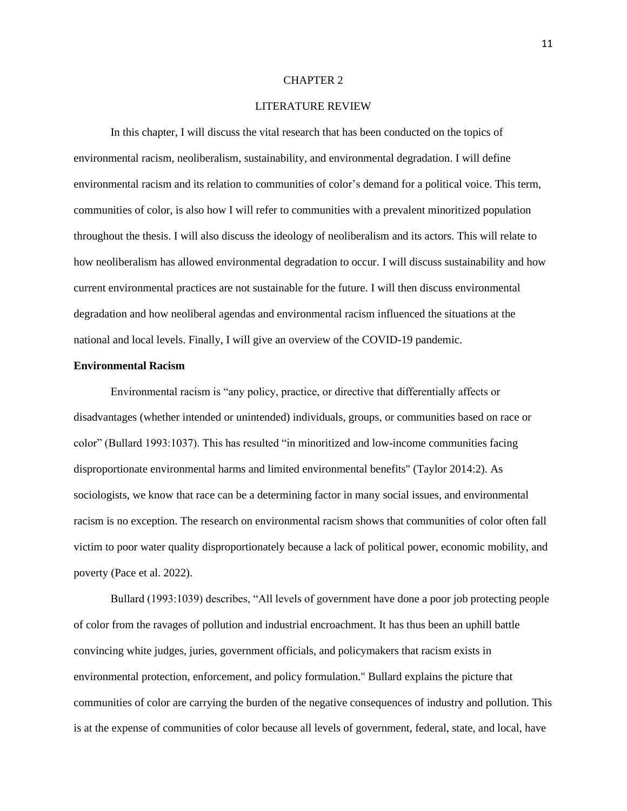#### CHAPTER 2

# LITERATURE REVIEW

In this chapter, I will discuss the vital research that has been conducted on the topics of environmental racism, neoliberalism, sustainability, and environmental degradation. I will define environmental racism and its relation to communities of color's demand for a political voice. This term, communities of color, is also how I will refer to communities with a prevalent minoritized population throughout the thesis. I will also discuss the ideology of neoliberalism and its actors. This will relate to how neoliberalism has allowed environmental degradation to occur. I will discuss sustainability and how current environmental practices are not sustainable for the future. I will then discuss environmental degradation and how neoliberal agendas and environmental racism influenced the situations at the national and local levels. Finally, I will give an overview of the COVID-19 pandemic.

# **Environmental Racism**

Environmental racism is "any policy, practice, or directive that differentially affects or disadvantages (whether intended or unintended) individuals, groups, or communities based on race or color" (Bullard 1993:1037). This has resulted "in minoritized and low-income communities facing disproportionate environmental harms and limited environmental benefits" (Taylor 2014:2). As sociologists, we know that race can be a determining factor in many social issues, and environmental racism is no exception. The research on environmental racism shows that communities of color often fall victim to poor water quality disproportionately because a lack of political power, economic mobility, and poverty (Pace et al. 2022).

Bullard (1993:1039) describes, "All levels of government have done a poor job protecting people of color from the ravages of pollution and industrial encroachment. It has thus been an uphill battle convincing white judges, juries, government officials, and policymakers that racism exists in environmental protection, enforcement, and policy formulation." Bullard explains the picture that communities of color are carrying the burden of the negative consequences of industry and pollution. This is at the expense of communities of color because all levels of government, federal, state, and local, have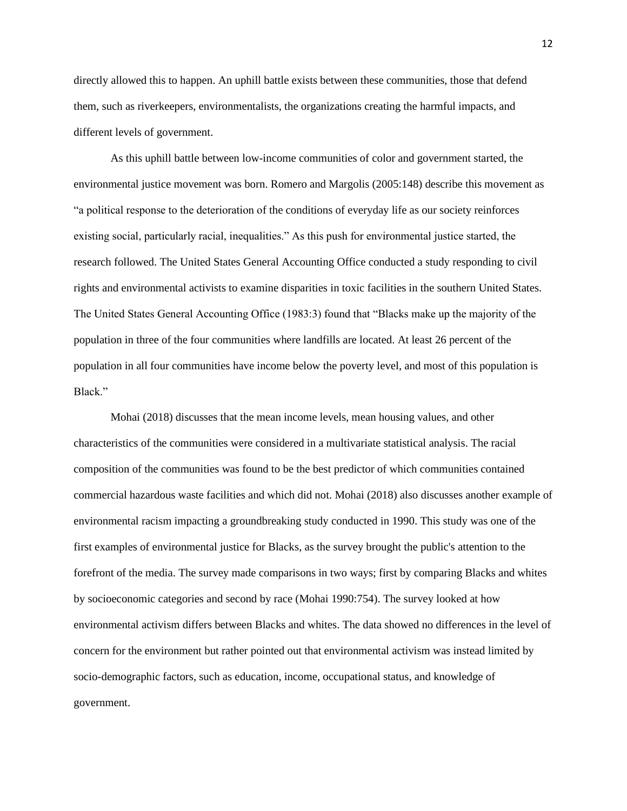directly allowed this to happen. An uphill battle exists between these communities, those that defend them, such as riverkeepers, environmentalists, the organizations creating the harmful impacts, and different levels of government.

As this uphill battle between low-income communities of color and government started, the environmental justice movement was born. Romero and Margolis (2005:148) describe this movement as "a political response to the deterioration of the conditions of everyday life as our society reinforces existing social, particularly racial, inequalities." As this push for environmental justice started, the research followed. The United States General Accounting Office conducted a study responding to civil rights and environmental activists to examine disparities in toxic facilities in the southern United States. The United States General Accounting Office (1983:3) found that "Blacks make up the majority of the population in three of the four communities where landfills are located. At least 26 percent of the population in all four communities have income below the poverty level, and most of this population is Black."

Mohai (2018) discusses that the mean income levels, mean housing values, and other characteristics of the communities were considered in a multivariate statistical analysis. The racial composition of the communities was found to be the best predictor of which communities contained commercial hazardous waste facilities and which did not. Mohai (2018) also discusses another example of environmental racism impacting a groundbreaking study conducted in 1990. This study was one of the first examples of environmental justice for Blacks, as the survey brought the public's attention to the forefront of the media. The survey made comparisons in two ways; first by comparing Blacks and whites by socioeconomic categories and second by race (Mohai 1990:754). The survey looked at how environmental activism differs between Blacks and whites. The data showed no differences in the level of concern for the environment but rather pointed out that environmental activism was instead limited by socio-demographic factors, such as education, income, occupational status, and knowledge of government.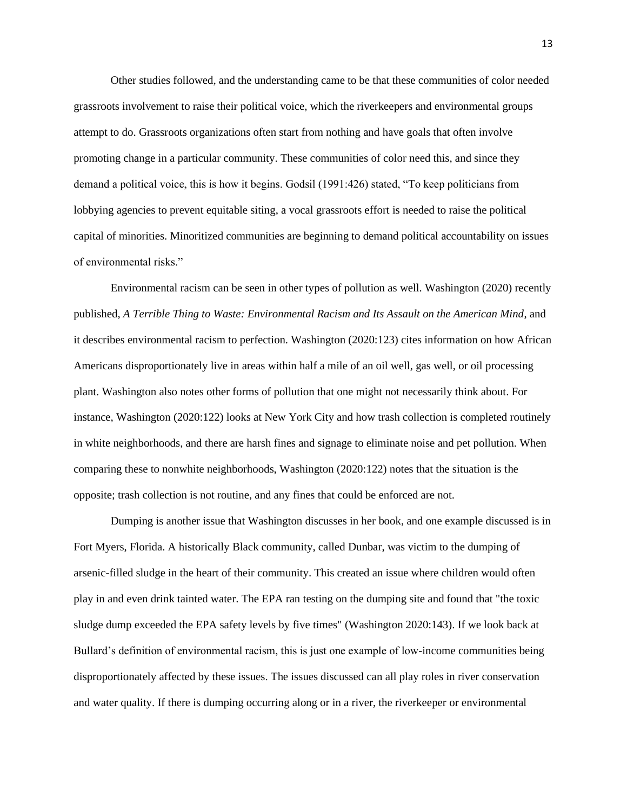Other studies followed, and the understanding came to be that these communities of color needed grassroots involvement to raise their political voice, which the riverkeepers and environmental groups attempt to do. Grassroots organizations often start from nothing and have goals that often involve promoting change in a particular community. These communities of color need this, and since they demand a political voice, this is how it begins. Godsil (1991:426) stated, "To keep politicians from lobbying agencies to prevent equitable siting, a vocal grassroots effort is needed to raise the political capital of minorities. Minoritized communities are beginning to demand political accountability on issues of environmental risks."

Environmental racism can be seen in other types of pollution as well. Washington (2020) recently published, *A Terrible Thing to Waste: Environmental Racism and Its Assault on the American Mind*, and it describes environmental racism to perfection. Washington (2020:123) cites information on how African Americans disproportionately live in areas within half a mile of an oil well, gas well, or oil processing plant. Washington also notes other forms of pollution that one might not necessarily think about. For instance, Washington (2020:122) looks at New York City and how trash collection is completed routinely in white neighborhoods, and there are harsh fines and signage to eliminate noise and pet pollution. When comparing these to nonwhite neighborhoods, Washington (2020:122) notes that the situation is the opposite; trash collection is not routine, and any fines that could be enforced are not.

Dumping is another issue that Washington discusses in her book, and one example discussed is in Fort Myers, Florida. A historically Black community, called Dunbar, was victim to the dumping of arsenic-filled sludge in the heart of their community. This created an issue where children would often play in and even drink tainted water. The EPA ran testing on the dumping site and found that "the toxic sludge dump exceeded the EPA safety levels by five times" (Washington 2020:143). If we look back at Bullard's definition of environmental racism, this is just one example of low-income communities being disproportionately affected by these issues. The issues discussed can all play roles in river conservation and water quality. If there is dumping occurring along or in a river, the riverkeeper or environmental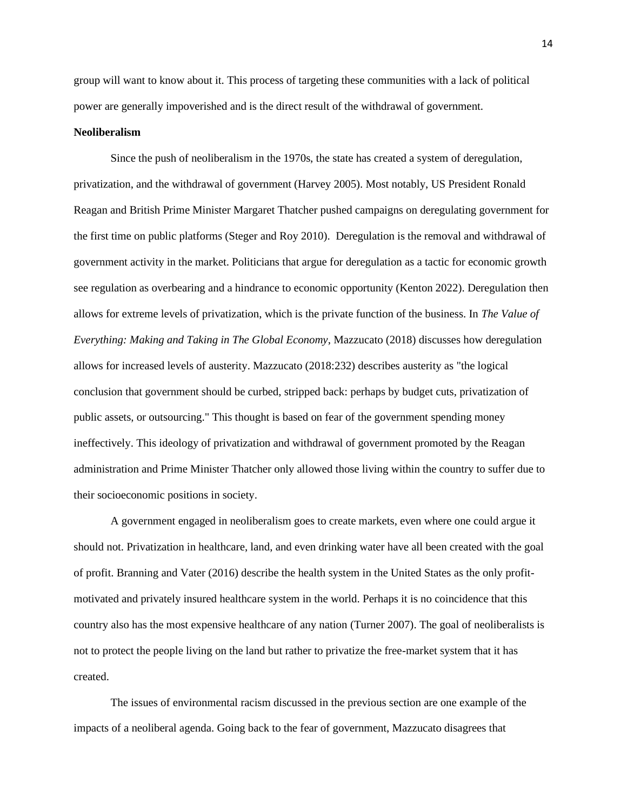group will want to know about it. This process of targeting these communities with a lack of political power are generally impoverished and is the direct result of the withdrawal of government.

#### **Neoliberalism**

Since the push of neoliberalism in the 1970s, the state has created a system of deregulation, privatization, and the withdrawal of government (Harvey 2005). Most notably, US President Ronald Reagan and British Prime Minister Margaret Thatcher pushed campaigns on deregulating government for the first time on public platforms (Steger and Roy 2010). Deregulation is the removal and withdrawal of government activity in the market. Politicians that argue for deregulation as a tactic for economic growth see regulation as overbearing and a hindrance to economic opportunity (Kenton 2022). Deregulation then allows for extreme levels of privatization, which is the private function of the business. In *The Value of Everything: Making and Taking in The Global Economy*, Mazzucato (2018) discusses how deregulation allows for increased levels of austerity. Mazzucato (2018:232) describes austerity as "the logical conclusion that government should be curbed, stripped back: perhaps by budget cuts, privatization of public assets, or outsourcing." This thought is based on fear of the government spending money ineffectively. This ideology of privatization and withdrawal of government promoted by the Reagan administration and Prime Minister Thatcher only allowed those living within the country to suffer due to their socioeconomic positions in society.

A government engaged in neoliberalism goes to create markets, even where one could argue it should not. Privatization in healthcare, land, and even drinking water have all been created with the goal of profit. Branning and Vater (2016) describe the health system in the United States as the only profitmotivated and privately insured healthcare system in the world. Perhaps it is no coincidence that this country also has the most expensive healthcare of any nation (Turner 2007). The goal of neoliberalists is not to protect the people living on the land but rather to privatize the free-market system that it has created.

The issues of environmental racism discussed in the previous section are one example of the impacts of a neoliberal agenda. Going back to the fear of government, Mazzucato disagrees that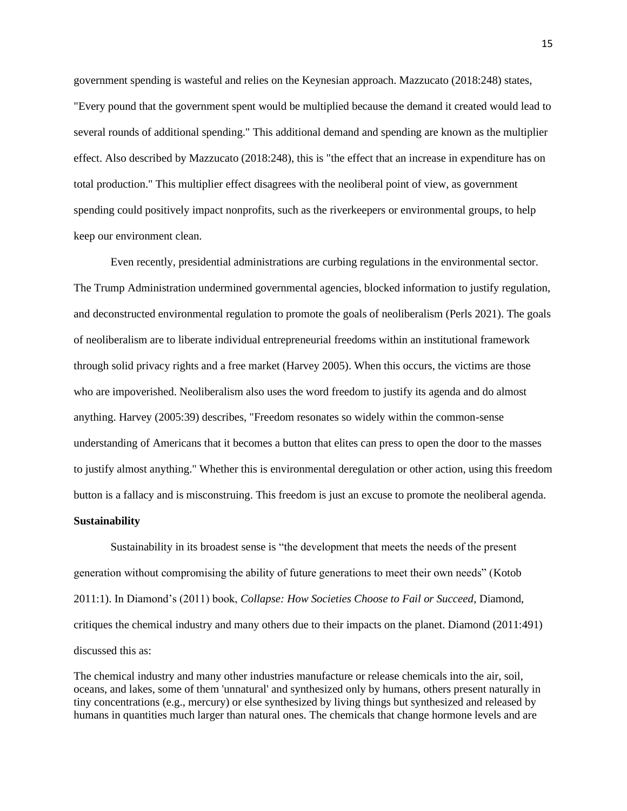government spending is wasteful and relies on the Keynesian approach. Mazzucato (2018:248) states, "Every pound that the government spent would be multiplied because the demand it created would lead to several rounds of additional spending." This additional demand and spending are known as the multiplier effect. Also described by Mazzucato (2018:248), this is "the effect that an increase in expenditure has on total production." This multiplier effect disagrees with the neoliberal point of view, as government spending could positively impact nonprofits, such as the riverkeepers or environmental groups, to help keep our environment clean.

Even recently, presidential administrations are curbing regulations in the environmental sector. The Trump Administration undermined governmental agencies, blocked information to justify regulation, and deconstructed environmental regulation to promote the goals of neoliberalism (Perls 2021). The goals of neoliberalism are to liberate individual entrepreneurial freedoms within an institutional framework through solid privacy rights and a free market (Harvey 2005). When this occurs, the victims are those who are impoverished. Neoliberalism also uses the word freedom to justify its agenda and do almost anything. Harvey (2005:39) describes, "Freedom resonates so widely within the common-sense understanding of Americans that it becomes a button that elites can press to open the door to the masses to justify almost anything." Whether this is environmental deregulation or other action, using this freedom button is a fallacy and is misconstruing. This freedom is just an excuse to promote the neoliberal agenda.

## **Sustainability**

Sustainability in its broadest sense is "the development that meets the needs of the present generation without compromising the ability of future generations to meet their own needs" (Kotob 2011:1). In Diamond's (2011) book, *Collapse: How Societies Choose to Fail or Succeed*, Diamond, critiques the chemical industry and many others due to their impacts on the planet. Diamond (2011:491) discussed this as:

The chemical industry and many other industries manufacture or release chemicals into the air, soil, oceans, and lakes, some of them 'unnatural' and synthesized only by humans, others present naturally in tiny concentrations (e.g., mercury) or else synthesized by living things but synthesized and released by humans in quantities much larger than natural ones. The chemicals that change hormone levels and are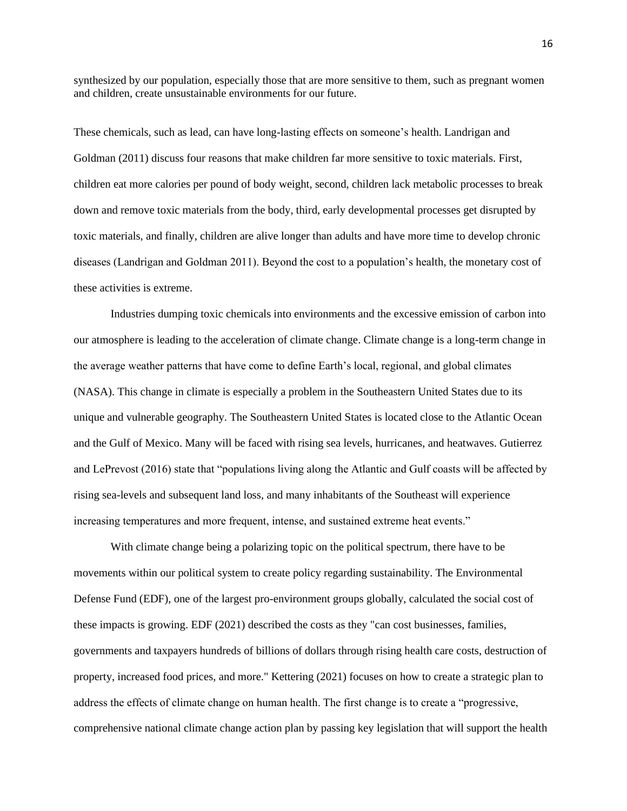synthesized by our population, especially those that are more sensitive to them, such as pregnant women and children, create unsustainable environments for our future.

These chemicals, such as lead, can have long-lasting effects on someone's health. Landrigan and Goldman (2011) discuss four reasons that make children far more sensitive to toxic materials. First, children eat more calories per pound of body weight, second, children lack metabolic processes to break down and remove toxic materials from the body, third, early developmental processes get disrupted by toxic materials, and finally, children are alive longer than adults and have more time to develop chronic diseases (Landrigan and Goldman 2011). Beyond the cost to a population's health, the monetary cost of these activities is extreme.

Industries dumping toxic chemicals into environments and the excessive emission of carbon into our atmosphere is leading to the acceleration of climate change. Climate change is a long-term change in the average weather patterns that have come to define Earth's local, regional, and global climates (NASA). This change in climate is especially a problem in the Southeastern United States due to its unique and vulnerable geography. The Southeastern United States is located close to the Atlantic Ocean and the Gulf of Mexico. Many will be faced with rising sea levels, hurricanes, and heatwaves. Gutierrez and LePrevost (2016) state that "populations living along the Atlantic and Gulf coasts will be affected by rising sea-levels and subsequent land loss, and many inhabitants of the Southeast will experience increasing temperatures and more frequent, intense, and sustained extreme heat events."

With climate change being a polarizing topic on the political spectrum, there have to be movements within our political system to create policy regarding sustainability. The Environmental Defense Fund (EDF), one of the largest pro-environment groups globally, calculated the social cost of these impacts is growing. EDF (2021) described the costs as they "can cost businesses, families, governments and taxpayers hundreds of billions of dollars through rising health care costs, destruction of property, increased food prices, and more." Kettering (2021) focuses on how to create a strategic plan to address the effects of climate change on human health. The first change is to create a "progressive, comprehensive national climate change action plan by passing key legislation that will support the health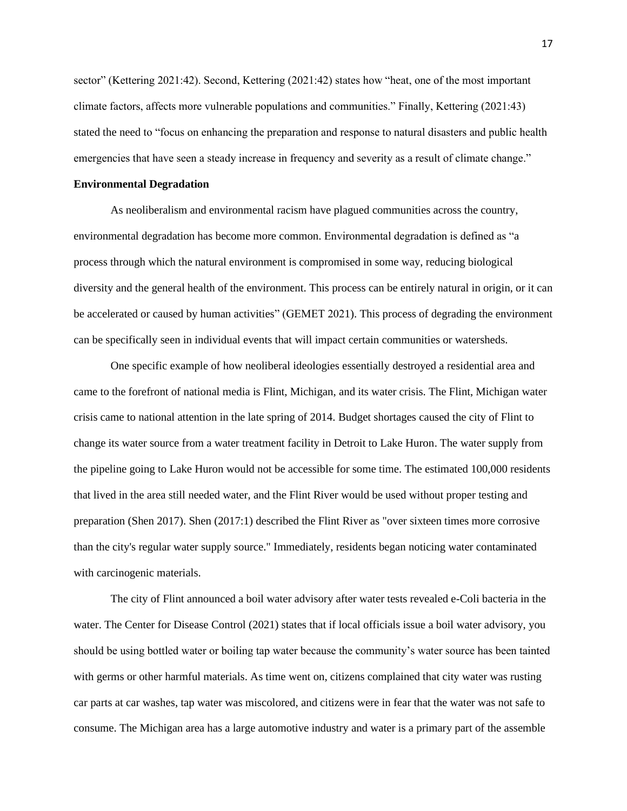sector" (Kettering 2021:42). Second, Kettering (2021:42) states how "heat, one of the most important climate factors, affects more vulnerable populations and communities." Finally, Kettering (2021:43) stated the need to "focus on enhancing the preparation and response to natural disasters and public health emergencies that have seen a steady increase in frequency and severity as a result of climate change."

#### **Environmental Degradation**

As neoliberalism and environmental racism have plagued communities across the country, environmental degradation has become more common. Environmental degradation is defined as "a process through which the natural environment is compromised in some way, reducing biological diversity and the general health of the environment. This process can be entirely natural in origin, or it can be accelerated or caused by human activities" (GEMET 2021). This process of degrading the environment can be specifically seen in individual events that will impact certain communities or watersheds.

One specific example of how neoliberal ideologies essentially destroyed a residential area and came to the forefront of national media is Flint, Michigan, and its water crisis. The Flint, Michigan water crisis came to national attention in the late spring of 2014. Budget shortages caused the city of Flint to change its water source from a water treatment facility in Detroit to Lake Huron. The water supply from the pipeline going to Lake Huron would not be accessible for some time. The estimated 100,000 residents that lived in the area still needed water, and the Flint River would be used without proper testing and preparation (Shen 2017). Shen (2017:1) described the Flint River as "over sixteen times more corrosive than the city's regular water supply source." Immediately, residents began noticing water contaminated with carcinogenic materials.

The city of Flint announced a boil water advisory after water tests revealed e-Coli bacteria in the water. The Center for Disease Control (2021) states that if local officials issue a boil water advisory, you should be using bottled water or boiling tap water because the community's water source has been tainted with germs or other harmful materials. As time went on, citizens complained that city water was rusting car parts at car washes, tap water was miscolored, and citizens were in fear that the water was not safe to consume. The Michigan area has a large automotive industry and water is a primary part of the assemble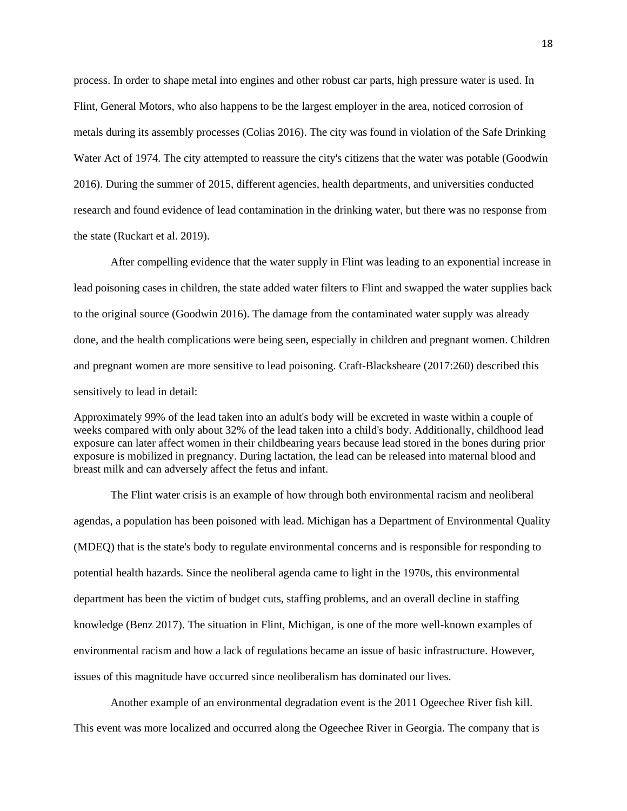process. In order to shape metal into engines and other robust car parts, high pressure water is used. In Flint, General Motors, who also happens to be the largest employer in the area, noticed corrosion of metals during its assembly processes (Colias 2016). The city was found in violation of the Safe Drinking Water Act of 1974. The city attempted to reassure the city's citizens that the water was potable (Goodwin 2016). During the summer of 2015, different agencies, health departments, and universities conducted research and found evidence of lead contamination in the drinking water, but there was no response from the state (Ruckart et al. 2019).

After compelling evidence that the water supply in Flint was leading to an exponential increase in lead poisoning cases in children, the state added water filters to Flint and swapped the water supplies back to the original source (Goodwin 2016). The damage from the contaminated water supply was already done, and the health complications were being seen, especially in children and pregnant women. Children and pregnant women are more sensitive to lead poisoning. Craft-Blacksheare (2017:260) described this sensitively to lead in detail:

Approximately 99% of the lead taken into an adult's body will be excreted in waste within a couple of weeks compared with only about 32% of the lead taken into a child's body. Additionally, childhood lead exposure can later affect women in their childbearing years because lead stored in the bones during prior exposure is mobilized in pregnancy. During lactation, the lead can be released into maternal blood and breast milk and can adversely affect the fetus and infant.

The Flint water crisis is an example of how through both environmental racism and neoliberal agendas, a population has been poisoned with lead. Michigan has a Department of Environmental Quality (MDEQ) that is the state's body to regulate environmental concerns and is responsible for responding to potential health hazards. Since the neoliberal agenda came to light in the 1970s, this environmental department has been the victim of budget cuts, staffing problems, and an overall decline in staffing knowledge (Benz 2017). The situation in Flint, Michigan, is one of the more well-known examples of environmental racism and how a lack of regulations became an issue of basic infrastructure. However, issues of this magnitude have occurred since neoliberalism has dominated our lives.

Another example of an environmental degradation event is the 2011 Ogeechee River fish kill. This event was more localized and occurred along the Ogeechee River in Georgia. The company that is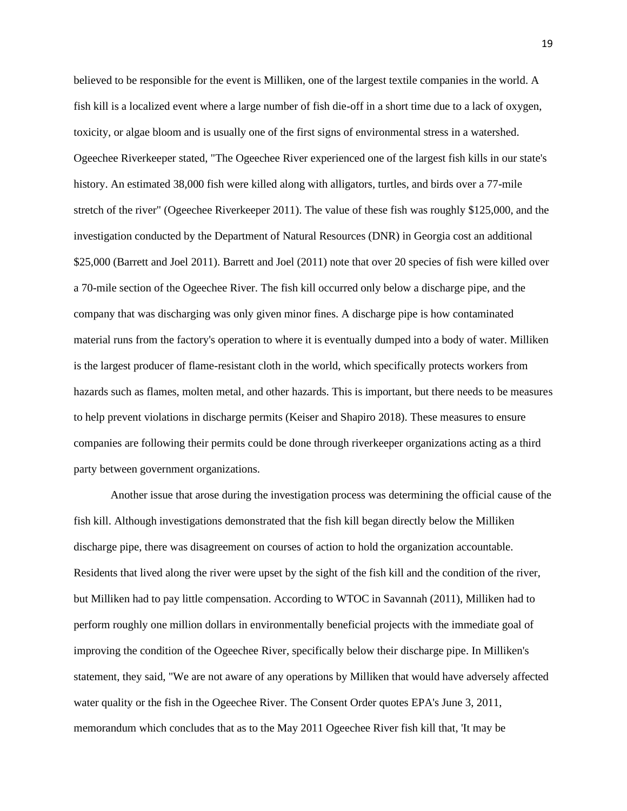believed to be responsible for the event is Milliken, one of the largest textile companies in the world. A fish kill is a localized event where a large number of fish die-off in a short time due to a lack of oxygen, toxicity, or algae bloom and is usually one of the first signs of environmental stress in a watershed. Ogeechee Riverkeeper stated, "The Ogeechee River experienced one of the largest fish kills in our state's history. An estimated 38,000 fish were killed along with alligators, turtles, and birds over a 77-mile stretch of the river" (Ogeechee Riverkeeper 2011). The value of these fish was roughly \$125,000, and the investigation conducted by the Department of Natural Resources (DNR) in Georgia cost an additional \$25,000 (Barrett and Joel 2011). Barrett and Joel (2011) note that over 20 species of fish were killed over a 70-mile section of the Ogeechee River. The fish kill occurred only below a discharge pipe, and the company that was discharging was only given minor fines. A discharge pipe is how contaminated material runs from the factory's operation to where it is eventually dumped into a body of water. Milliken is the largest producer of flame-resistant cloth in the world, which specifically protects workers from hazards such as flames, molten metal, and other hazards. This is important, but there needs to be measures to help prevent violations in discharge permits (Keiser and Shapiro 2018). These measures to ensure companies are following their permits could be done through riverkeeper organizations acting as a third party between government organizations.

Another issue that arose during the investigation process was determining the official cause of the fish kill. Although investigations demonstrated that the fish kill began directly below the Milliken discharge pipe, there was disagreement on courses of action to hold the organization accountable. Residents that lived along the river were upset by the sight of the fish kill and the condition of the river, but Milliken had to pay little compensation. According to WTOC in Savannah (2011), Milliken had to perform roughly one million dollars in environmentally beneficial projects with the immediate goal of improving the condition of the Ogeechee River, specifically below their discharge pipe. In Milliken's statement, they said, "We are not aware of any operations by Milliken that would have adversely affected water quality or the fish in the Ogeechee River. The Consent Order quotes EPA's June 3, 2011, memorandum which concludes that as to the May 2011 Ogeechee River fish kill that, 'It may be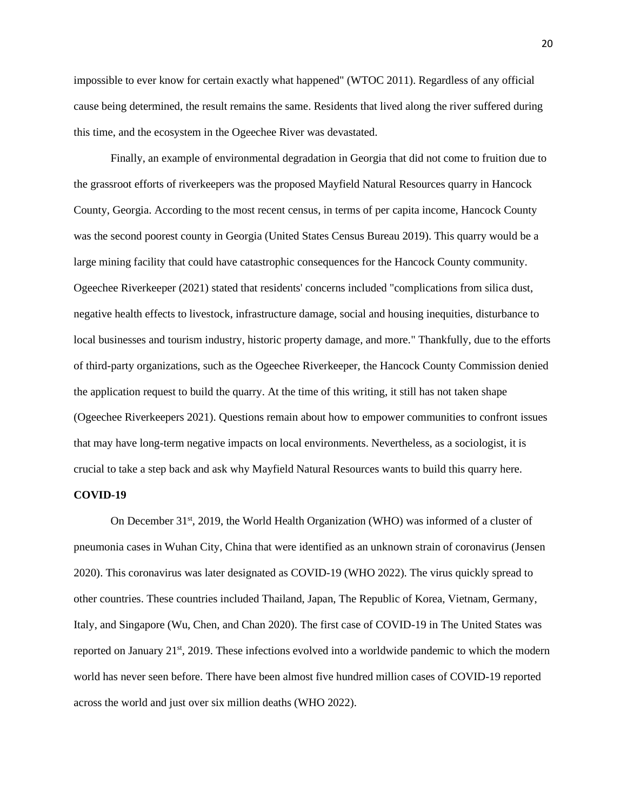impossible to ever know for certain exactly what happened" (WTOC 2011). Regardless of any official cause being determined, the result remains the same. Residents that lived along the river suffered during this time, and the ecosystem in the Ogeechee River was devastated.

Finally, an example of environmental degradation in Georgia that did not come to fruition due to the grassroot efforts of riverkeepers was the proposed Mayfield Natural Resources quarry in Hancock County, Georgia. According to the most recent census, in terms of per capita income, Hancock County was the second poorest county in Georgia (United States Census Bureau 2019). This quarry would be a large mining facility that could have catastrophic consequences for the Hancock County community. Ogeechee Riverkeeper (2021) stated that residents' concerns included "complications from silica dust, negative health effects to livestock, infrastructure damage, social and housing inequities, disturbance to local businesses and tourism industry, historic property damage, and more." Thankfully, due to the efforts of third-party organizations, such as the Ogeechee Riverkeeper, the Hancock County Commission denied the application request to build the quarry. At the time of this writing, it still has not taken shape (Ogeechee Riverkeepers 2021). Questions remain about how to empower communities to confront issues that may have long-term negative impacts on local environments. Nevertheless, as a sociologist, it is crucial to take a step back and ask why Mayfield Natural Resources wants to build this quarry here.

# **COVID-19**

On December 31<sup>st</sup>, 2019, the World Health Organization (WHO) was informed of a cluster of pneumonia cases in Wuhan City, China that were identified as an unknown strain of coronavirus (Jensen 2020). This coronavirus was later designated as COVID-19 (WHO 2022). The virus quickly spread to other countries. These countries included Thailand, Japan, The Republic of Korea, Vietnam, Germany, Italy, and Singapore (Wu, Chen, and Chan 2020). The first case of COVID-19 in The United States was reported on January 21st, 2019. These infections evolved into a worldwide pandemic to which the modern world has never seen before. There have been almost five hundred million cases of COVID-19 reported across the world and just over six million deaths (WHO 2022).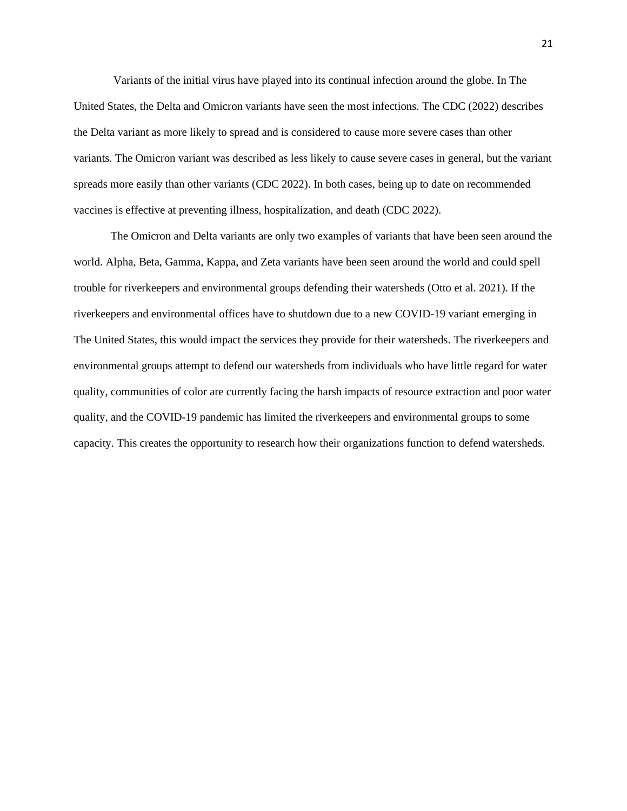Variants of the initial virus have played into its continual infection around the globe. In The United States, the Delta and Omicron variants have seen the most infections. The CDC (2022) describes the Delta variant as more likely to spread and is considered to cause more severe cases than other variants. The Omicron variant was described as less likely to cause severe cases in general, but the variant spreads more easily than other variants (CDC 2022). In both cases, being up to date on recommended vaccines is effective at preventing illness, hospitalization, and death (CDC 2022).

The Omicron and Delta variants are only two examples of variants that have been seen around the world. Alpha, Beta, Gamma, Kappa, and Zeta variants have been seen around the world and could spell trouble for riverkeepers and environmental groups defending their watersheds (Otto et al. 2021). If the riverkeepers and environmental offices have to shutdown due to a new COVID-19 variant emerging in The United States, this would impact the services they provide for their watersheds. The riverkeepers and environmental groups attempt to defend our watersheds from individuals who have little regard for water quality, communities of color are currently facing the harsh impacts of resource extraction and poor water quality, and the COVID-19 pandemic has limited the riverkeepers and environmental groups to some capacity. This creates the opportunity to research how their organizations function to defend watersheds.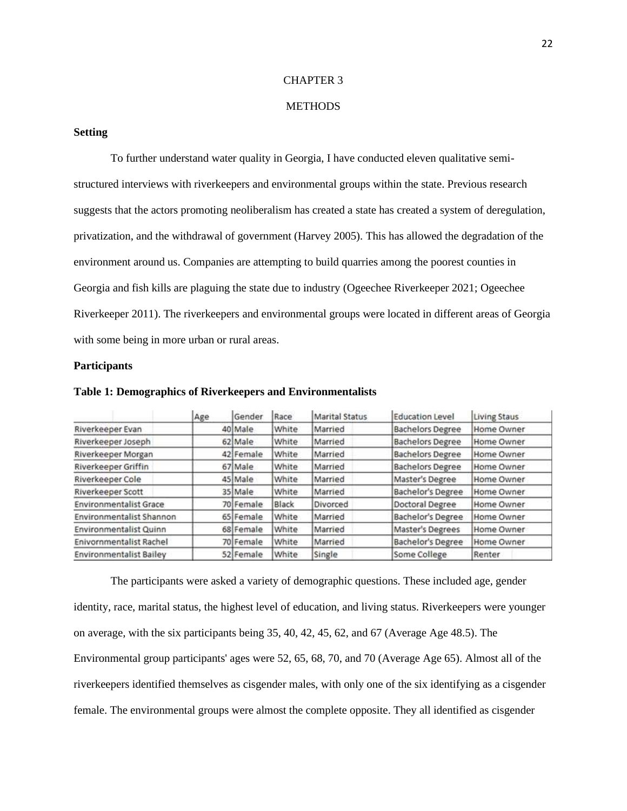#### CHAPTER 3

# **METHODS**

## **Setting**

To further understand water quality in Georgia, I have conducted eleven qualitative semistructured interviews with riverkeepers and environmental groups within the state. Previous research suggests that the actors promoting neoliberalism has created a state has created a system of deregulation, privatization, and the withdrawal of government (Harvey 2005). This has allowed the degradation of the environment around us. Companies are attempting to build quarries among the poorest counties in Georgia and fish kills are plaguing the state due to industry (Ogeechee Riverkeeper 2021; Ogeechee Riverkeeper 2011). The riverkeepers and environmental groups were located in different areas of Georgia with some being in more urban or rural areas.

# **Participants**

|                                | Age | Gender    | Race  | <b>Marital Status</b> | <b>Education Level</b>   | Living Staus |
|--------------------------------|-----|-----------|-------|-----------------------|--------------------------|--------------|
| Riverkeeper Evan               |     | 40 Male   | White | Married               | <b>Bachelors Degree</b>  | Home Owner   |
| Riverkeeper Joseph             |     | 62 Male   | White | Married               | <b>Bachelors Degree</b>  | Home Owner   |
| Riverkeeper Morgan             |     | 42 Female | White | Married               | <b>Bachelors Degree</b>  | Home Owner   |
| <b>Riverkeeper Griffin</b>     |     | 67 Male   | White | Married               | <b>Bachelors Degree</b>  | Home Owner   |
| Riverkeeper Cole               |     | 45 Male   | White | Married               | Master's Degree          | Home Owner   |
| Riverkeeper Scott              |     | 35 Male   | White | Married               | Bachelor's Degree        | Home Owner   |
| <b>Environmentalist Grace</b>  |     | 70 Female | Black | Divorced              | Doctoral Degree          | Home Owner   |
| Environmentalist Shannon       |     | 65 Female | White | Married               | Bachelor's Degree        | Home Owner   |
| Environmentalist Quinn         |     | 68 Female | White | Married               | Master's Degrees         | Home Owner   |
| Enivornmentalist Rachel        |     | 70 Female | White | Married               | <b>Bachelor's Degree</b> | Home Owner   |
| <b>Environmentalist Bailey</b> |     | 52 Female | White | Single                | Some College             | Renter       |

#### **Table 1: Demographics of Riverkeepers and Environmentalists**

The participants were asked a variety of demographic questions. These included age, gender identity, race, marital status, the highest level of education, and living status. Riverkeepers were younger on average, with the six participants being 35, 40, 42, 45, 62, and 67 (Average Age 48.5). The Environmental group participants' ages were 52, 65, 68, 70, and 70 (Average Age 65). Almost all of the riverkeepers identified themselves as cisgender males, with only one of the six identifying as a cisgender female. The environmental groups were almost the complete opposite. They all identified as cisgender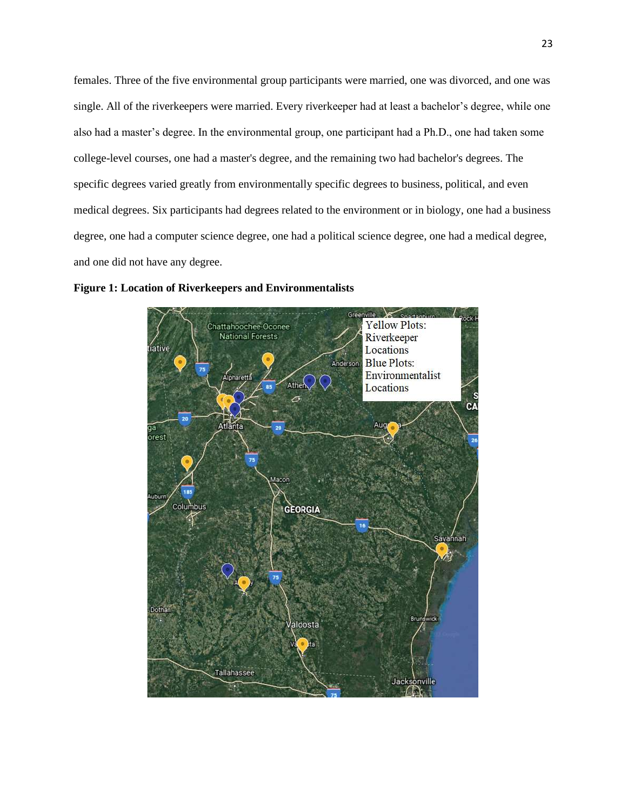females. Three of the five environmental group participants were married, one was divorced, and one was single. All of the riverkeepers were married. Every riverkeeper had at least a bachelor's degree, while one also had a master's degree. In the environmental group, one participant had a Ph.D., one had taken some college-level courses, one had a master's degree, and the remaining two had bachelor's degrees. The specific degrees varied greatly from environmentally specific degrees to business, political, and even medical degrees. Six participants had degrees related to the environment or in biology, one had a business degree, one had a computer science degree, one had a political science degree, one had a medical degree, and one did not have any degree.



**Figure 1: Location of Riverkeepers and Environmentalists**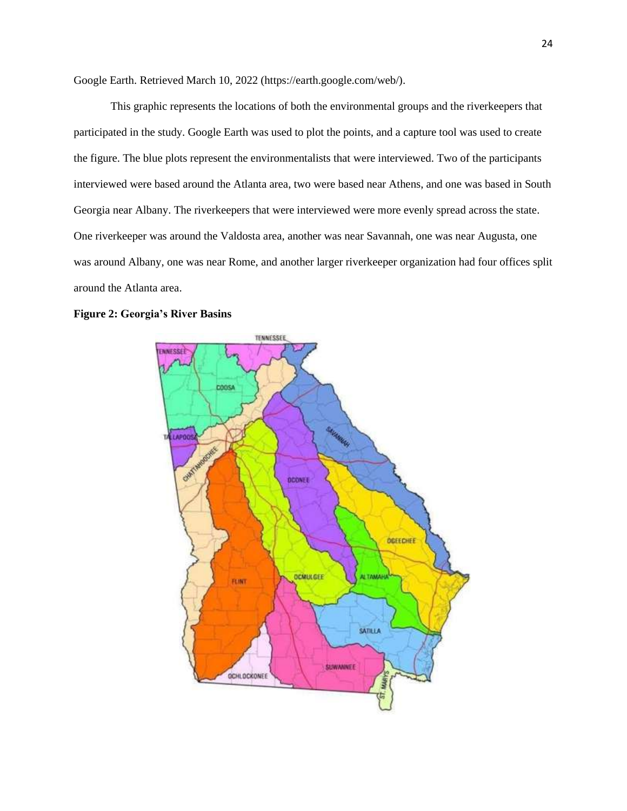Google Earth. Retrieved March 10, 2022 (https://earth.google.com/web/).

This graphic represents the locations of both the environmental groups and the riverkeepers that participated in the study. Google Earth was used to plot the points, and a capture tool was used to create the figure. The blue plots represent the environmentalists that were interviewed. Two of the participants interviewed were based around the Atlanta area, two were based near Athens, and one was based in South Georgia near Albany. The riverkeepers that were interviewed were more evenly spread across the state. One riverkeeper was around the Valdosta area, another was near Savannah, one was near Augusta, one was around Albany, one was near Rome, and another larger riverkeeper organization had four offices split around the Atlanta area.



#### **Figure 2: Georgia's River Basins**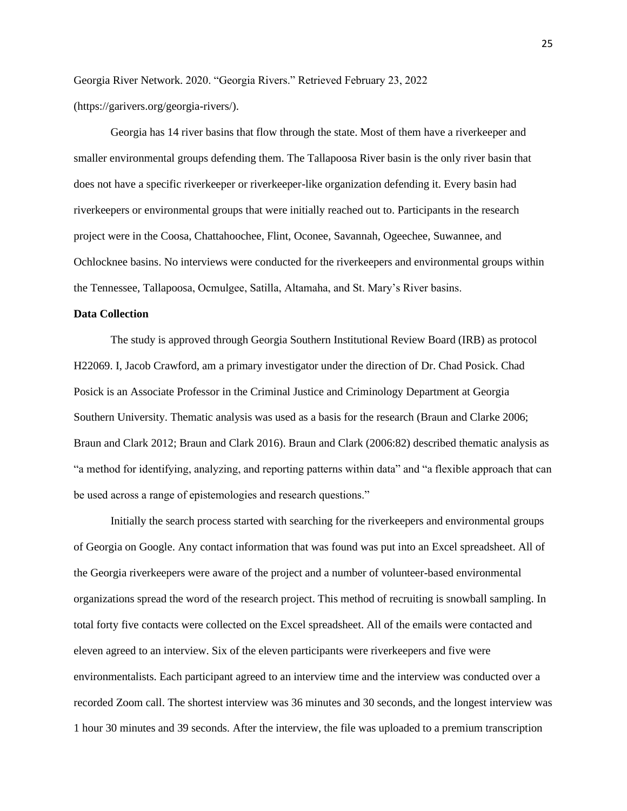Georgia River Network. 2020. "Georgia Rivers." Retrieved February 23, 2022 (https://garivers.org/georgia-rivers/).

Georgia has 14 river basins that flow through the state. Most of them have a riverkeeper and smaller environmental groups defending them. The Tallapoosa River basin is the only river basin that does not have a specific riverkeeper or riverkeeper-like organization defending it. Every basin had riverkeepers or environmental groups that were initially reached out to. Participants in the research project were in the Coosa, Chattahoochee, Flint, Oconee, Savannah, Ogeechee, Suwannee, and Ochlocknee basins. No interviews were conducted for the riverkeepers and environmental groups within the Tennessee, Tallapoosa, Ocmulgee, Satilla, Altamaha, and St. Mary's River basins.

#### **Data Collection**

The study is approved through Georgia Southern Institutional Review Board (IRB) as protocol H22069. I, Jacob Crawford, am a primary investigator under the direction of Dr. Chad Posick. Chad Posick is an Associate Professor in the Criminal Justice and Criminology Department at Georgia Southern University. Thematic analysis was used as a basis for the research (Braun and Clarke 2006; Braun and Clark 2012; Braun and Clark 2016). Braun and Clark (2006:82) described thematic analysis as "a method for identifying, analyzing, and reporting patterns within data" and "a flexible approach that can be used across a range of epistemologies and research questions."

Initially the search process started with searching for the riverkeepers and environmental groups of Georgia on Google. Any contact information that was found was put into an Excel spreadsheet. All of the Georgia riverkeepers were aware of the project and a number of volunteer-based environmental organizations spread the word of the research project. This method of recruiting is snowball sampling. In total forty five contacts were collected on the Excel spreadsheet. All of the emails were contacted and eleven agreed to an interview. Six of the eleven participants were riverkeepers and five were environmentalists. Each participant agreed to an interview time and the interview was conducted over a recorded Zoom call. The shortest interview was 36 minutes and 30 seconds, and the longest interview was 1 hour 30 minutes and 39 seconds. After the interview, the file was uploaded to a premium transcription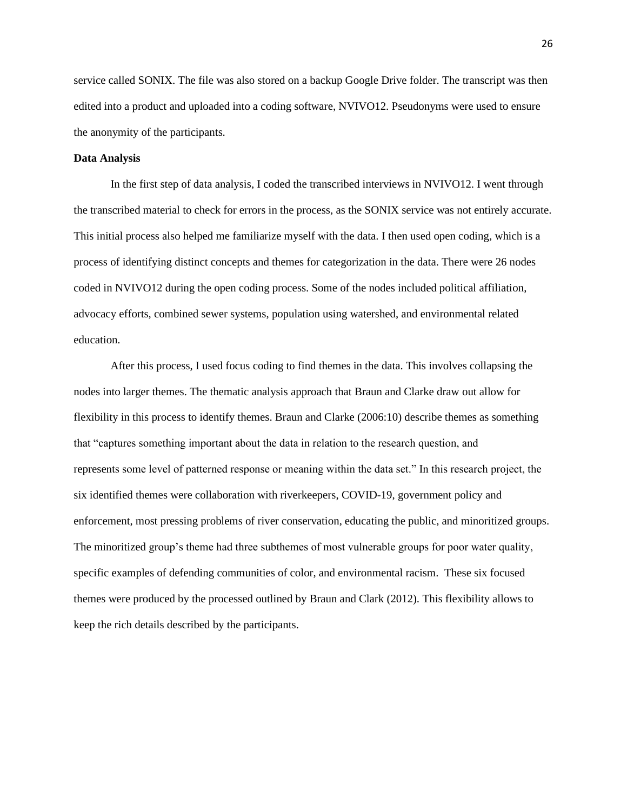service called SONIX. The file was also stored on a backup Google Drive folder. The transcript was then edited into a product and uploaded into a coding software, NVIVO12. Pseudonyms were used to ensure the anonymity of the participants.

#### **Data Analysis**

In the first step of data analysis, I coded the transcribed interviews in NVIVO12. I went through the transcribed material to check for errors in the process, as the SONIX service was not entirely accurate. This initial process also helped me familiarize myself with the data. I then used open coding, which is a process of identifying distinct concepts and themes for categorization in the data. There were 26 nodes coded in NVIVO12 during the open coding process. Some of the nodes included political affiliation, advocacy efforts, combined sewer systems, population using watershed, and environmental related education.

After this process, I used focus coding to find themes in the data. This involves collapsing the nodes into larger themes. The thematic analysis approach that Braun and Clarke draw out allow for flexibility in this process to identify themes. Braun and Clarke (2006:10) describe themes as something that "captures something important about the data in relation to the research question, and represents some level of patterned response or meaning within the data set." In this research project, the six identified themes were collaboration with riverkeepers, COVID-19, government policy and enforcement, most pressing problems of river conservation, educating the public, and minoritized groups. The minoritized group's theme had three subthemes of most vulnerable groups for poor water quality, specific examples of defending communities of color, and environmental racism. These six focused themes were produced by the processed outlined by Braun and Clark (2012). This flexibility allows to keep the rich details described by the participants.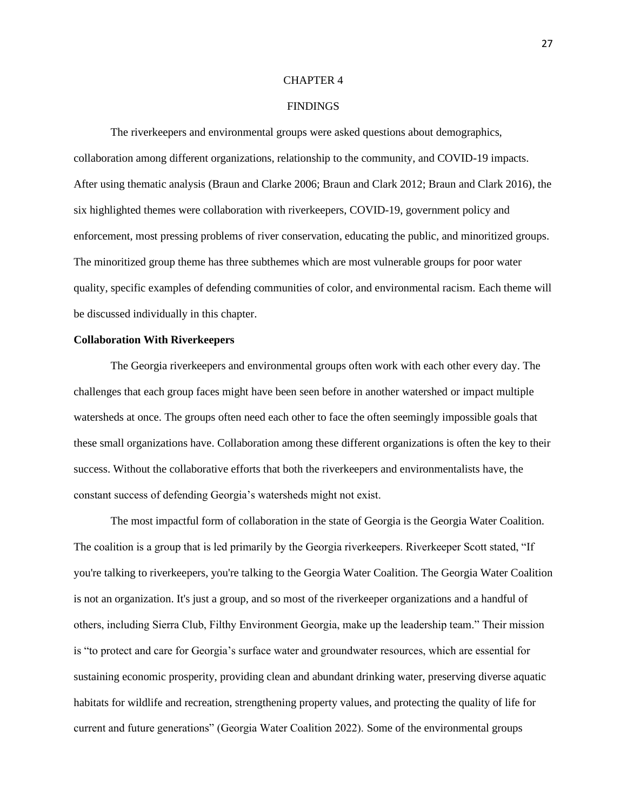#### CHAPTER 4

## **FINDINGS**

The riverkeepers and environmental groups were asked questions about demographics, collaboration among different organizations, relationship to the community, and COVID-19 impacts. After using thematic analysis (Braun and Clarke 2006; Braun and Clark 2012; Braun and Clark 2016), the six highlighted themes were collaboration with riverkeepers, COVID-19, government policy and enforcement, most pressing problems of river conservation, educating the public, and minoritized groups. The minoritized group theme has three subthemes which are most vulnerable groups for poor water quality, specific examples of defending communities of color, and environmental racism. Each theme will be discussed individually in this chapter.

#### **Collaboration With Riverkeepers**

The Georgia riverkeepers and environmental groups often work with each other every day. The challenges that each group faces might have been seen before in another watershed or impact multiple watersheds at once. The groups often need each other to face the often seemingly impossible goals that these small organizations have. Collaboration among these different organizations is often the key to their success. Without the collaborative efforts that both the riverkeepers and environmentalists have, the constant success of defending Georgia's watersheds might not exist.

The most impactful form of collaboration in the state of Georgia is the Georgia Water Coalition. The coalition is a group that is led primarily by the Georgia riverkeepers. Riverkeeper Scott stated, "If you're talking to riverkeepers, you're talking to the Georgia Water Coalition. The Georgia Water Coalition is not an organization. It's just a group, and so most of the riverkeeper organizations and a handful of others, including Sierra Club, Filthy Environment Georgia, make up the leadership team." Their mission is "to protect and care for Georgia's surface water and groundwater resources, which are essential for sustaining economic prosperity, providing clean and abundant drinking water, preserving diverse aquatic habitats for wildlife and recreation, strengthening property values, and protecting the quality of life for current and future generations" (Georgia Water Coalition 2022). Some of the environmental groups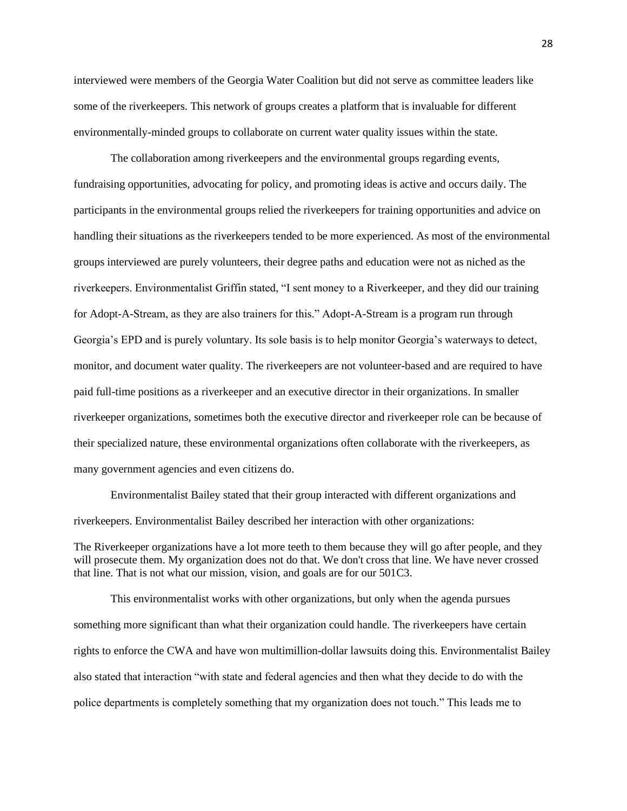interviewed were members of the Georgia Water Coalition but did not serve as committee leaders like some of the riverkeepers. This network of groups creates a platform that is invaluable for different environmentally-minded groups to collaborate on current water quality issues within the state.

The collaboration among riverkeepers and the environmental groups regarding events, fundraising opportunities, advocating for policy, and promoting ideas is active and occurs daily. The participants in the environmental groups relied the riverkeepers for training opportunities and advice on handling their situations as the riverkeepers tended to be more experienced. As most of the environmental groups interviewed are purely volunteers, their degree paths and education were not as niched as the riverkeepers. Environmentalist Griffin stated, "I sent money to a Riverkeeper, and they did our training for Adopt-A-Stream, as they are also trainers for this." Adopt-A-Stream is a program run through Georgia's EPD and is purely voluntary. Its sole basis is to help monitor Georgia's waterways to detect, monitor, and document water quality. The riverkeepers are not volunteer-based and are required to have paid full-time positions as a riverkeeper and an executive director in their organizations. In smaller riverkeeper organizations, sometimes both the executive director and riverkeeper role can be because of their specialized nature, these environmental organizations often collaborate with the riverkeepers, as many government agencies and even citizens do.

Environmentalist Bailey stated that their group interacted with different organizations and riverkeepers. Environmentalist Bailey described her interaction with other organizations:

The Riverkeeper organizations have a lot more teeth to them because they will go after people, and they will prosecute them. My organization does not do that. We don't cross that line. We have never crossed that line. That is not what our mission, vision, and goals are for our 501C3.

This environmentalist works with other organizations, but only when the agenda pursues something more significant than what their organization could handle. The riverkeepers have certain rights to enforce the CWA and have won multimillion-dollar lawsuits doing this. Environmentalist Bailey also stated that interaction "with state and federal agencies and then what they decide to do with the police departments is completely something that my organization does not touch." This leads me to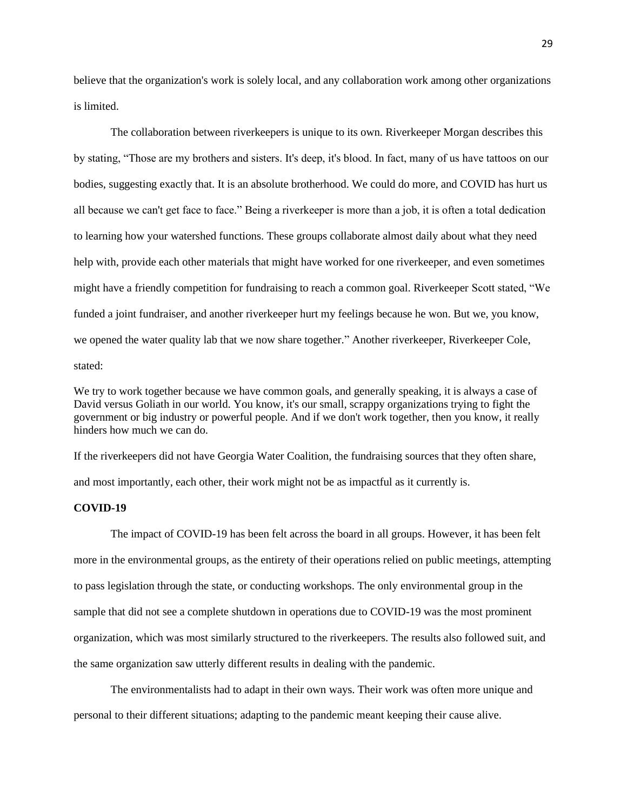believe that the organization's work is solely local, and any collaboration work among other organizations is limited.

The collaboration between riverkeepers is unique to its own. Riverkeeper Morgan describes this by stating, "Those are my brothers and sisters. It's deep, it's blood. In fact, many of us have tattoos on our bodies, suggesting exactly that. It is an absolute brotherhood. We could do more, and COVID has hurt us all because we can't get face to face." Being a riverkeeper is more than a job, it is often a total dedication to learning how your watershed functions. These groups collaborate almost daily about what they need help with, provide each other materials that might have worked for one riverkeeper, and even sometimes might have a friendly competition for fundraising to reach a common goal. Riverkeeper Scott stated, "We funded a joint fundraiser, and another riverkeeper hurt my feelings because he won. But we, you know, we opened the water quality lab that we now share together." Another riverkeeper, Riverkeeper Cole, stated:

We try to work together because we have common goals, and generally speaking, it is always a case of David versus Goliath in our world. You know, it's our small, scrappy organizations trying to fight the government or big industry or powerful people. And if we don't work together, then you know, it really hinders how much we can do.

If the riverkeepers did not have Georgia Water Coalition, the fundraising sources that they often share, and most importantly, each other, their work might not be as impactful as it currently is.

## **COVID-19**

The impact of COVID-19 has been felt across the board in all groups. However, it has been felt more in the environmental groups, as the entirety of their operations relied on public meetings, attempting to pass legislation through the state, or conducting workshops. The only environmental group in the sample that did not see a complete shutdown in operations due to COVID-19 was the most prominent organization, which was most similarly structured to the riverkeepers. The results also followed suit, and the same organization saw utterly different results in dealing with the pandemic.

The environmentalists had to adapt in their own ways. Their work was often more unique and personal to their different situations; adapting to the pandemic meant keeping their cause alive.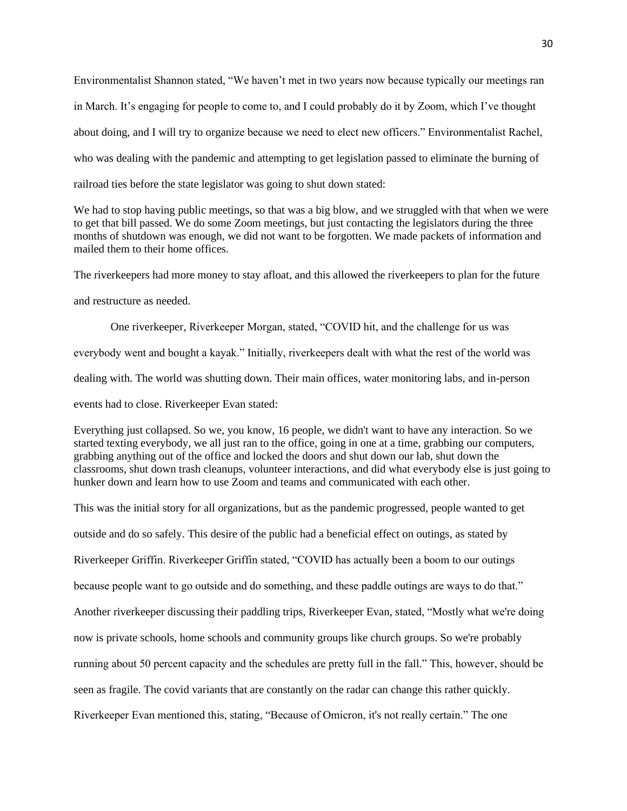Environmentalist Shannon stated, "We haven't met in two years now because typically our meetings ran in March. It's engaging for people to come to, and I could probably do it by Zoom, which I've thought about doing, and I will try to organize because we need to elect new officers." Environmentalist Rachel, who was dealing with the pandemic and attempting to get legislation passed to eliminate the burning of railroad ties before the state legislator was going to shut down stated:

We had to stop having public meetings, so that was a big blow, and we struggled with that when we were to get that bill passed. We do some Zoom meetings, but just contacting the legislators during the three months of shutdown was enough, we did not want to be forgotten. We made packets of information and mailed them to their home offices.

The riverkeepers had more money to stay afloat, and this allowed the riverkeepers to plan for the future

and restructure as needed.

One riverkeeper, Riverkeeper Morgan, stated, "COVID hit, and the challenge for us was everybody went and bought a kayak." Initially, riverkeepers dealt with what the rest of the world was dealing with. The world was shutting down. Their main offices, water monitoring labs, and in-person events had to close. Riverkeeper Evan stated:

Everything just collapsed. So we, you know, 16 people, we didn't want to have any interaction. So we started texting everybody, we all just ran to the office, going in one at a time, grabbing our computers, grabbing anything out of the office and locked the doors and shut down our lab, shut down the classrooms, shut down trash cleanups, volunteer interactions, and did what everybody else is just going to hunker down and learn how to use Zoom and teams and communicated with each other.

This was the initial story for all organizations, but as the pandemic progressed, people wanted to get

outside and do so safely. This desire of the public had a beneficial effect on outings, as stated by Riverkeeper Griffin. Riverkeeper Griffin stated, "COVID has actually been a boom to our outings because people want to go outside and do something, and these paddle outings are ways to do that." Another riverkeeper discussing their paddling trips, Riverkeeper Evan, stated, "Mostly what we're doing now is private schools, home schools and community groups like church groups. So we're probably running about 50 percent capacity and the schedules are pretty full in the fall." This, however, should be seen as fragile. The covid variants that are constantly on the radar can change this rather quickly. Riverkeeper Evan mentioned this, stating, "Because of Omicron, it's not really certain." The one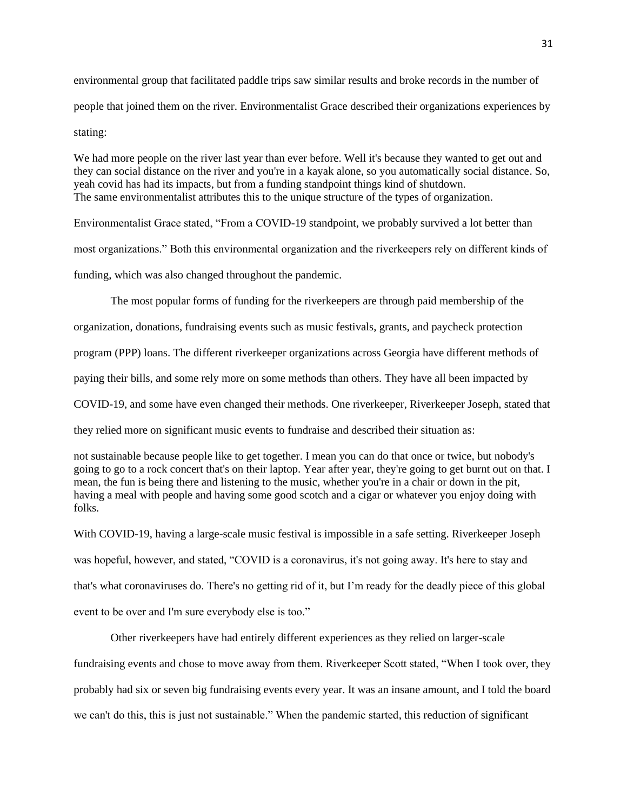environmental group that facilitated paddle trips saw similar results and broke records in the number of people that joined them on the river. Environmentalist Grace described their organizations experiences by stating:

We had more people on the river last year than ever before. Well it's because they wanted to get out and they can social distance on the river and you're in a kayak alone, so you automatically social distance. So, yeah covid has had its impacts, but from a funding standpoint things kind of shutdown. The same environmentalist attributes this to the unique structure of the types of organization.

Environmentalist Grace stated, "From a COVID-19 standpoint, we probably survived a lot better than

most organizations." Both this environmental organization and the riverkeepers rely on different kinds of

funding, which was also changed throughout the pandemic.

The most popular forms of funding for the riverkeepers are through paid membership of the

organization, donations, fundraising events such as music festivals, grants, and paycheck protection

program (PPP) loans. The different riverkeeper organizations across Georgia have different methods of

paying their bills, and some rely more on some methods than others. They have all been impacted by

COVID-19, and some have even changed their methods. One riverkeeper, Riverkeeper Joseph, stated that

they relied more on significant music events to fundraise and described their situation as:

not sustainable because people like to get together. I mean you can do that once or twice, but nobody's going to go to a rock concert that's on their laptop. Year after year, they're going to get burnt out on that. I mean, the fun is being there and listening to the music, whether you're in a chair or down in the pit, having a meal with people and having some good scotch and a cigar or whatever you enjoy doing with folks.

With COVID-19, having a large-scale music festival is impossible in a safe setting. Riverkeeper Joseph was hopeful, however, and stated, "COVID is a coronavirus, it's not going away. It's here to stay and that's what coronaviruses do. There's no getting rid of it, but I'm ready for the deadly piece of this global event to be over and I'm sure everybody else is too."

Other riverkeepers have had entirely different experiences as they relied on larger-scale fundraising events and chose to move away from them. Riverkeeper Scott stated, "When I took over, they probably had six or seven big fundraising events every year. It was an insane amount, and I told the board we can't do this, this is just not sustainable." When the pandemic started, this reduction of significant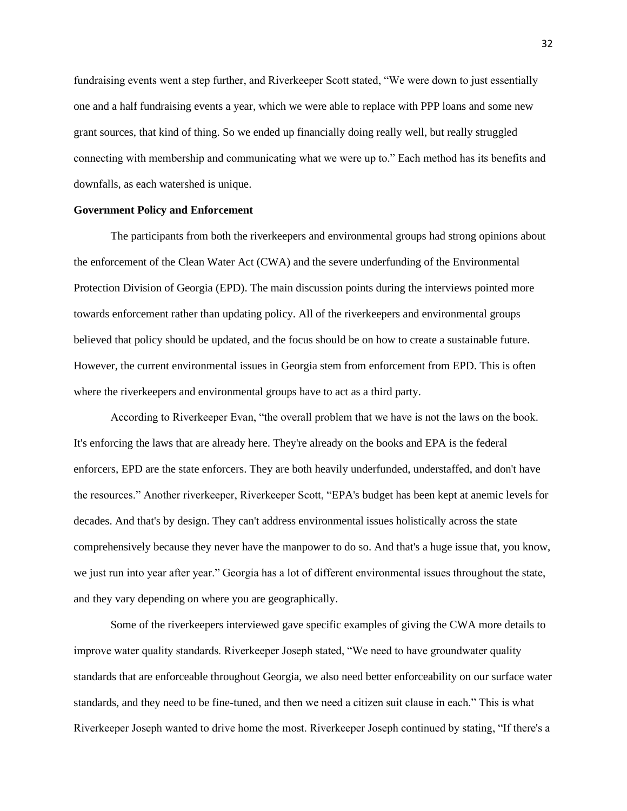fundraising events went a step further, and Riverkeeper Scott stated, "We were down to just essentially one and a half fundraising events a year, which we were able to replace with PPP loans and some new grant sources, that kind of thing. So we ended up financially doing really well, but really struggled connecting with membership and communicating what we were up to." Each method has its benefits and downfalls, as each watershed is unique.

#### **Government Policy and Enforcement**

The participants from both the riverkeepers and environmental groups had strong opinions about the enforcement of the Clean Water Act (CWA) and the severe underfunding of the Environmental Protection Division of Georgia (EPD). The main discussion points during the interviews pointed more towards enforcement rather than updating policy. All of the riverkeepers and environmental groups believed that policy should be updated, and the focus should be on how to create a sustainable future. However, the current environmental issues in Georgia stem from enforcement from EPD. This is often where the riverkeepers and environmental groups have to act as a third party.

According to Riverkeeper Evan, "the overall problem that we have is not the laws on the book. It's enforcing the laws that are already here. They're already on the books and EPA is the federal enforcers, EPD are the state enforcers. They are both heavily underfunded, understaffed, and don't have the resources." Another riverkeeper, Riverkeeper Scott, "EPA's budget has been kept at anemic levels for decades. And that's by design. They can't address environmental issues holistically across the state comprehensively because they never have the manpower to do so. And that's a huge issue that, you know, we just run into year after year." Georgia has a lot of different environmental issues throughout the state, and they vary depending on where you are geographically.

Some of the riverkeepers interviewed gave specific examples of giving the CWA more details to improve water quality standards. Riverkeeper Joseph stated, "We need to have groundwater quality standards that are enforceable throughout Georgia, we also need better enforceability on our surface water standards, and they need to be fine-tuned, and then we need a citizen suit clause in each." This is what Riverkeeper Joseph wanted to drive home the most. Riverkeeper Joseph continued by stating, "If there's a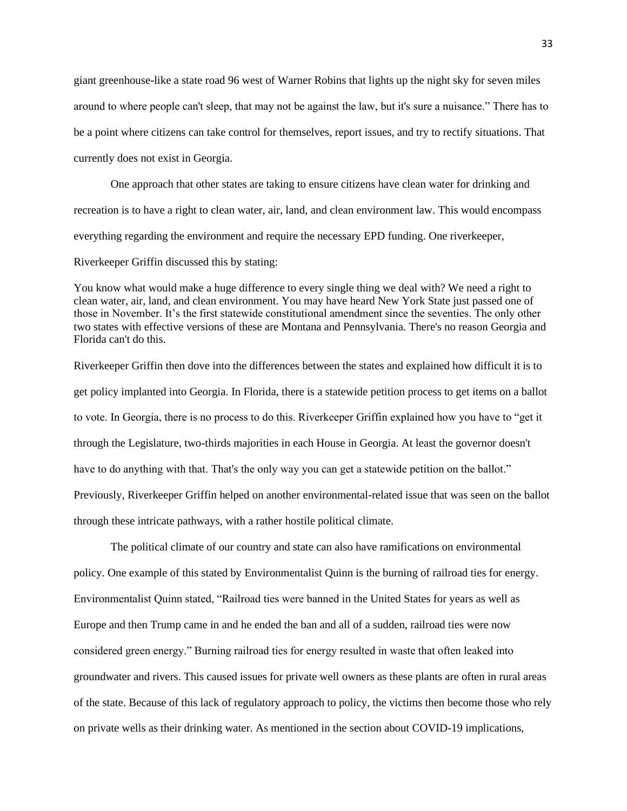giant greenhouse-like a state road 96 west of Warner Robins that lights up the night sky for seven miles around to where people can't sleep, that may not be against the law, but it's sure a nuisance." There has to be a point where citizens can take control for themselves, report issues, and try to rectify situations. That currently does not exist in Georgia.

One approach that other states are taking to ensure citizens have clean water for drinking and recreation is to have a right to clean water, air, land, and clean environment law. This would encompass everything regarding the environment and require the necessary EPD funding. One riverkeeper,

Riverkeeper Griffin discussed this by stating:

You know what would make a huge difference to every single thing we deal with? We need a right to clean water, air, land, and clean environment. You may have heard New York State just passed one of those in November. It's the first statewide constitutional amendment since the seventies. The only other two states with effective versions of these are Montana and Pennsylvania. There's no reason Georgia and Florida can't do this.

Riverkeeper Griffin then dove into the differences between the states and explained how difficult it is to get policy implanted into Georgia. In Florida, there is a statewide petition process to get items on a ballot to vote. In Georgia, there is no process to do this. Riverkeeper Griffin explained how you have to "get it through the Legislature, two-thirds majorities in each House in Georgia. At least the governor doesn't have to do anything with that. That's the only way you can get a statewide petition on the ballot." Previously, Riverkeeper Griffin helped on another environmental-related issue that was seen on the ballot through these intricate pathways, with a rather hostile political climate.

The political climate of our country and state can also have ramifications on environmental policy. One example of this stated by Environmentalist Quinn is the burning of railroad ties for energy. Environmentalist Quinn stated, "Railroad ties were banned in the United States for years as well as Europe and then Trump came in and he ended the ban and all of a sudden, railroad ties were now considered green energy." Burning railroad ties for energy resulted in waste that often leaked into groundwater and rivers. This caused issues for private well owners as these plants are often in rural areas of the state. Because of this lack of regulatory approach to policy, the victims then become those who rely on private wells as their drinking water. As mentioned in the section about COVID-19 implications,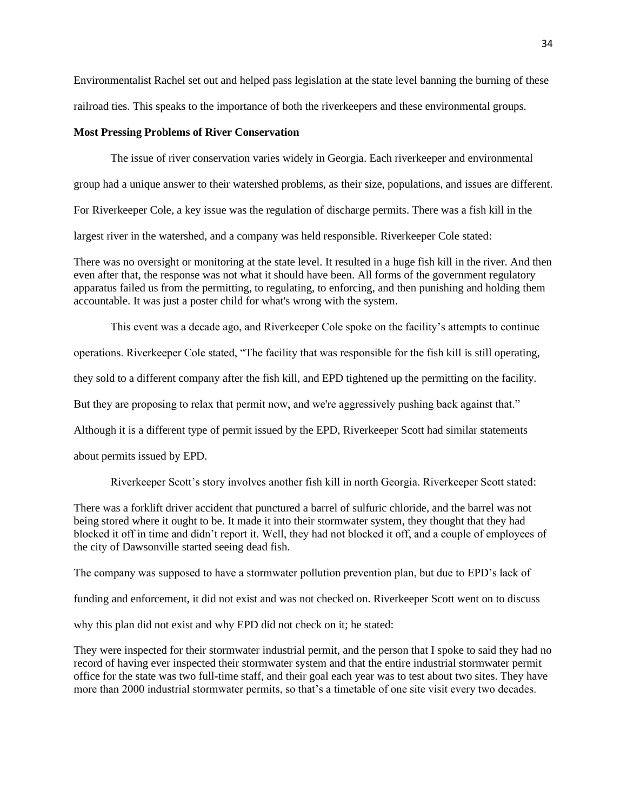Environmentalist Rachel set out and helped pass legislation at the state level banning the burning of these railroad ties. This speaks to the importance of both the riverkeepers and these environmental groups.

## **Most Pressing Problems of River Conservation**

The issue of river conservation varies widely in Georgia. Each riverkeeper and environmental group had a unique answer to their watershed problems, as their size, populations, and issues are different. For Riverkeeper Cole, a key issue was the regulation of discharge permits. There was a fish kill in the largest river in the watershed, and a company was held responsible. Riverkeeper Cole stated:

There was no oversight or monitoring at the state level. It resulted in a huge fish kill in the river. And then even after that, the response was not what it should have been. All forms of the government regulatory apparatus failed us from the permitting, to regulating, to enforcing, and then punishing and holding them accountable. It was just a poster child for what's wrong with the system.

This event was a decade ago, and Riverkeeper Cole spoke on the facility's attempts to continue operations. Riverkeeper Cole stated, "The facility that was responsible for the fish kill is still operating, they sold to a different company after the fish kill, and EPD tightened up the permitting on the facility. But they are proposing to relax that permit now, and we're aggressively pushing back against that." Although it is a different type of permit issued by the EPD, Riverkeeper Scott had similar statements about permits issued by EPD.

Riverkeeper Scott's story involves another fish kill in north Georgia. Riverkeeper Scott stated:

There was a forklift driver accident that punctured a barrel of sulfuric chloride, and the barrel was not being stored where it ought to be. It made it into their stormwater system, they thought that they had blocked it off in time and didn't report it. Well, they had not blocked it off, and a couple of employees of the city of Dawsonville started seeing dead fish.

The company was supposed to have a stormwater pollution prevention plan, but due to EPD's lack of

funding and enforcement, it did not exist and was not checked on. Riverkeeper Scott went on to discuss

why this plan did not exist and why EPD did not check on it; he stated:

They were inspected for their stormwater industrial permit, and the person that I spoke to said they had no record of having ever inspected their stormwater system and that the entire industrial stormwater permit office for the state was two full-time staff, and their goal each year was to test about two sites. They have more than 2000 industrial stormwater permits, so that's a timetable of one site visit every two decades.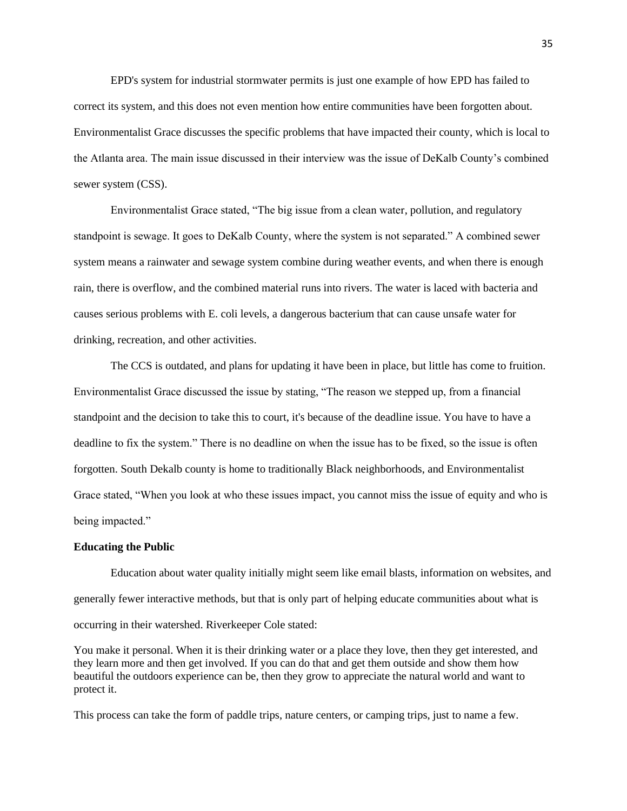EPD's system for industrial stormwater permits is just one example of how EPD has failed to correct its system, and this does not even mention how entire communities have been forgotten about. Environmentalist Grace discusses the specific problems that have impacted their county, which is local to the Atlanta area. The main issue discussed in their interview was the issue of DeKalb County's combined sewer system (CSS).

Environmentalist Grace stated, "The big issue from a clean water, pollution, and regulatory standpoint is sewage. It goes to DeKalb County, where the system is not separated." A combined sewer system means a rainwater and sewage system combine during weather events, and when there is enough rain, there is overflow, and the combined material runs into rivers. The water is laced with bacteria and causes serious problems with E. coli levels, a dangerous bacterium that can cause unsafe water for drinking, recreation, and other activities.

The CCS is outdated, and plans for updating it have been in place, but little has come to fruition. Environmentalist Grace discussed the issue by stating, "The reason we stepped up, from a financial standpoint and the decision to take this to court, it's because of the deadline issue. You have to have a deadline to fix the system." There is no deadline on when the issue has to be fixed, so the issue is often forgotten. South Dekalb county is home to traditionally Black neighborhoods, and Environmentalist Grace stated, "When you look at who these issues impact, you cannot miss the issue of equity and who is being impacted."

#### **Educating the Public**

Education about water quality initially might seem like email blasts, information on websites, and generally fewer interactive methods, but that is only part of helping educate communities about what is occurring in their watershed. Riverkeeper Cole stated:

You make it personal. When it is their drinking water or a place they love, then they get interested, and they learn more and then get involved. If you can do that and get them outside and show them how beautiful the outdoors experience can be, then they grow to appreciate the natural world and want to protect it.

This process can take the form of paddle trips, nature centers, or camping trips, just to name a few.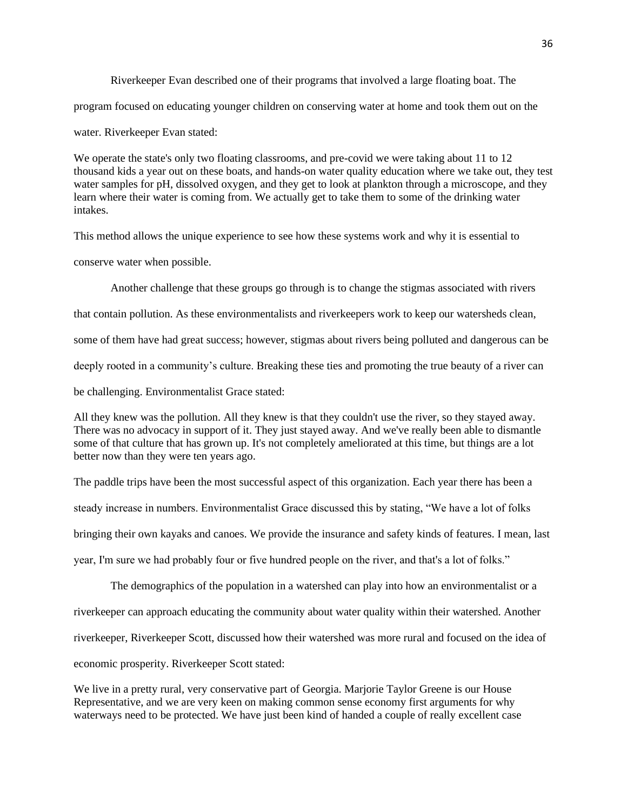Riverkeeper Evan described one of their programs that involved a large floating boat. The program focused on educating younger children on conserving water at home and took them out on the water. Riverkeeper Evan stated:

We operate the state's only two floating classrooms, and pre-covid we were taking about 11 to 12 thousand kids a year out on these boats, and hands-on water quality education where we take out, they test water samples for pH, dissolved oxygen, and they get to look at plankton through a microscope, and they learn where their water is coming from. We actually get to take them to some of the drinking water intakes.

This method allows the unique experience to see how these systems work and why it is essential to

conserve water when possible.

Another challenge that these groups go through is to change the stigmas associated with rivers

that contain pollution. As these environmentalists and riverkeepers work to keep our watersheds clean,

some of them have had great success; however, stigmas about rivers being polluted and dangerous can be

deeply rooted in a community's culture. Breaking these ties and promoting the true beauty of a river can

be challenging. Environmentalist Grace stated:

All they knew was the pollution. All they knew is that they couldn't use the river, so they stayed away. There was no advocacy in support of it. They just stayed away. And we've really been able to dismantle some of that culture that has grown up. It's not completely ameliorated at this time, but things are a lot better now than they were ten years ago.

The paddle trips have been the most successful aspect of this organization. Each year there has been a

steady increase in numbers. Environmentalist Grace discussed this by stating, "We have a lot of folks

bringing their own kayaks and canoes. We provide the insurance and safety kinds of features. I mean, last

year, I'm sure we had probably four or five hundred people on the river, and that's a lot of folks."

The demographics of the population in a watershed can play into how an environmentalist or a riverkeeper can approach educating the community about water quality within their watershed. Another riverkeeper, Riverkeeper Scott, discussed how their watershed was more rural and focused on the idea of economic prosperity. Riverkeeper Scott stated:

We live in a pretty rural, very conservative part of Georgia. Marjorie Taylor Greene is our House Representative, and we are very keen on making common sense economy first arguments for why waterways need to be protected. We have just been kind of handed a couple of really excellent case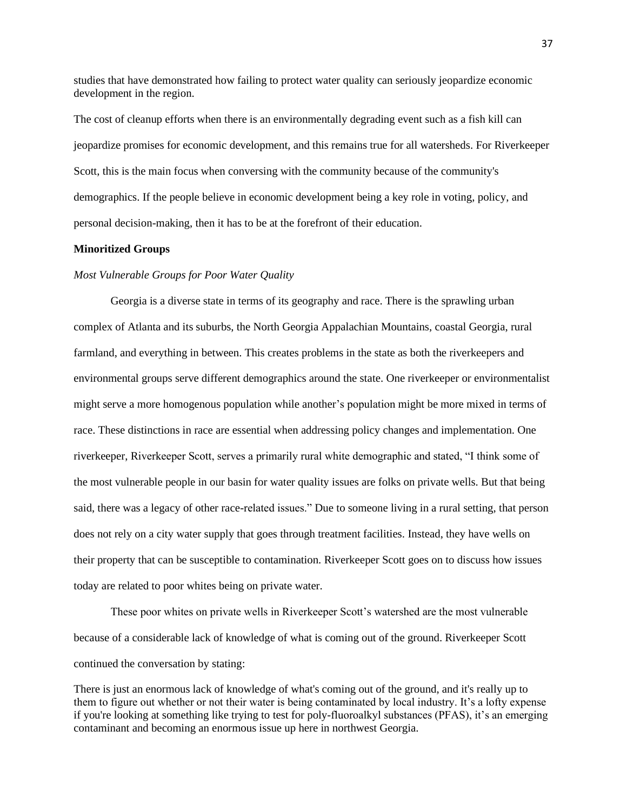studies that have demonstrated how failing to protect water quality can seriously jeopardize economic development in the region.

The cost of cleanup efforts when there is an environmentally degrading event such as a fish kill can jeopardize promises for economic development, and this remains true for all watersheds. For Riverkeeper Scott, this is the main focus when conversing with the community because of the community's demographics. If the people believe in economic development being a key role in voting, policy, and personal decision-making, then it has to be at the forefront of their education.

#### **Minoritized Groups**

#### *Most Vulnerable Groups for Poor Water Quality*

Georgia is a diverse state in terms of its geography and race. There is the sprawling urban complex of Atlanta and its suburbs, the North Georgia Appalachian Mountains, coastal Georgia, rural farmland, and everything in between. This creates problems in the state as both the riverkeepers and environmental groups serve different demographics around the state. One riverkeeper or environmentalist might serve a more homogenous population while another's population might be more mixed in terms of race. These distinctions in race are essential when addressing policy changes and implementation. One riverkeeper, Riverkeeper Scott, serves a primarily rural white demographic and stated, "I think some of the most vulnerable people in our basin for water quality issues are folks on private wells. But that being said, there was a legacy of other race-related issues." Due to someone living in a rural setting, that person does not rely on a city water supply that goes through treatment facilities. Instead, they have wells on their property that can be susceptible to contamination. Riverkeeper Scott goes on to discuss how issues today are related to poor whites being on private water.

These poor whites on private wells in Riverkeeper Scott's watershed are the most vulnerable because of a considerable lack of knowledge of what is coming out of the ground. Riverkeeper Scott continued the conversation by stating:

There is just an enormous lack of knowledge of what's coming out of the ground, and it's really up to them to figure out whether or not their water is being contaminated by local industry. It's a lofty expense if you're looking at something like trying to test for poly-fluoroalkyl substances (PFAS), it's an emerging contaminant and becoming an enormous issue up here in northwest Georgia.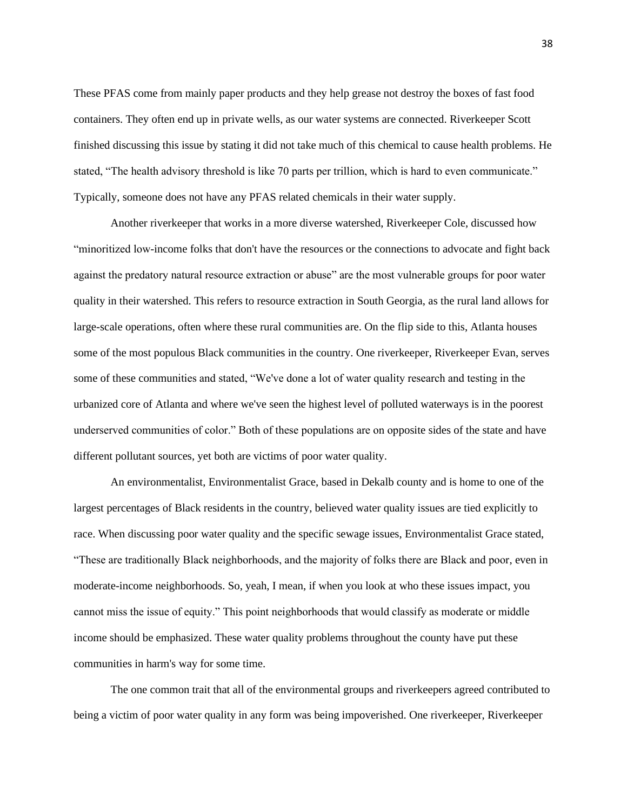These PFAS come from mainly paper products and they help grease not destroy the boxes of fast food containers. They often end up in private wells, as our water systems are connected. Riverkeeper Scott finished discussing this issue by stating it did not take much of this chemical to cause health problems. He stated, "The health advisory threshold is like 70 parts per trillion, which is hard to even communicate." Typically, someone does not have any PFAS related chemicals in their water supply.

Another riverkeeper that works in a more diverse watershed, Riverkeeper Cole, discussed how "minoritized low-income folks that don't have the resources or the connections to advocate and fight back against the predatory natural resource extraction or abuse" are the most vulnerable groups for poor water quality in their watershed. This refers to resource extraction in South Georgia, as the rural land allows for large-scale operations, often where these rural communities are. On the flip side to this, Atlanta houses some of the most populous Black communities in the country. One riverkeeper, Riverkeeper Evan, serves some of these communities and stated, "We've done a lot of water quality research and testing in the urbanized core of Atlanta and where we've seen the highest level of polluted waterways is in the poorest underserved communities of color." Both of these populations are on opposite sides of the state and have different pollutant sources, yet both are victims of poor water quality.

An environmentalist, Environmentalist Grace, based in Dekalb county and is home to one of the largest percentages of Black residents in the country, believed water quality issues are tied explicitly to race. When discussing poor water quality and the specific sewage issues, Environmentalist Grace stated, "These are traditionally Black neighborhoods, and the majority of folks there are Black and poor, even in moderate-income neighborhoods. So, yeah, I mean, if when you look at who these issues impact, you cannot miss the issue of equity." This point neighborhoods that would classify as moderate or middle income should be emphasized. These water quality problems throughout the county have put these communities in harm's way for some time.

The one common trait that all of the environmental groups and riverkeepers agreed contributed to being a victim of poor water quality in any form was being impoverished. One riverkeeper, Riverkeeper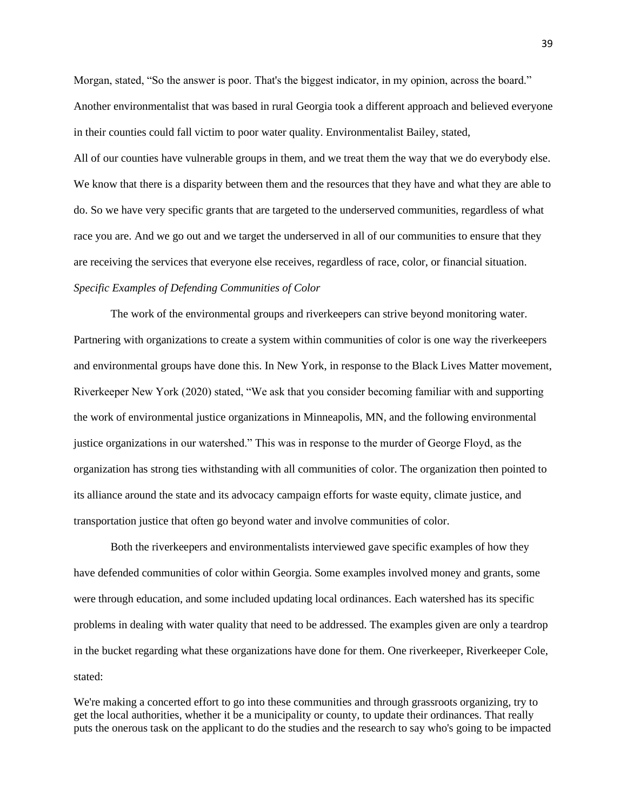Morgan, stated, "So the answer is poor. That's the biggest indicator, in my opinion, across the board." Another environmentalist that was based in rural Georgia took a different approach and believed everyone in their counties could fall victim to poor water quality. Environmentalist Bailey, stated, All of our counties have vulnerable groups in them, and we treat them the way that we do everybody else. We know that there is a disparity between them and the resources that they have and what they are able to do. So we have very specific grants that are targeted to the underserved communities, regardless of what race you are. And we go out and we target the underserved in all of our communities to ensure that they are receiving the services that everyone else receives, regardless of race, color, or financial situation.

# *Specific Examples of Defending Communities of Color*

The work of the environmental groups and riverkeepers can strive beyond monitoring water. Partnering with organizations to create a system within communities of color is one way the riverkeepers and environmental groups have done this. In New York, in response to the Black Lives Matter movement, Riverkeeper New York (2020) stated, "We ask that you consider becoming familiar with and supporting the work of environmental justice organizations in Minneapolis, MN, and the following environmental justice organizations in our watershed." This was in response to the murder of George Floyd, as the organization has strong ties withstanding with all communities of color. The organization then pointed to its alliance around the state and its advocacy campaign efforts for waste equity, climate justice, and transportation justice that often go beyond water and involve communities of color.

Both the riverkeepers and environmentalists interviewed gave specific examples of how they have defended communities of color within Georgia. Some examples involved money and grants, some were through education, and some included updating local ordinances. Each watershed has its specific problems in dealing with water quality that need to be addressed. The examples given are only a teardrop in the bucket regarding what these organizations have done for them. One riverkeeper, Riverkeeper Cole, stated:

We're making a concerted effort to go into these communities and through grassroots organizing, try to get the local authorities, whether it be a municipality or county, to update their ordinances. That really puts the onerous task on the applicant to do the studies and the research to say who's going to be impacted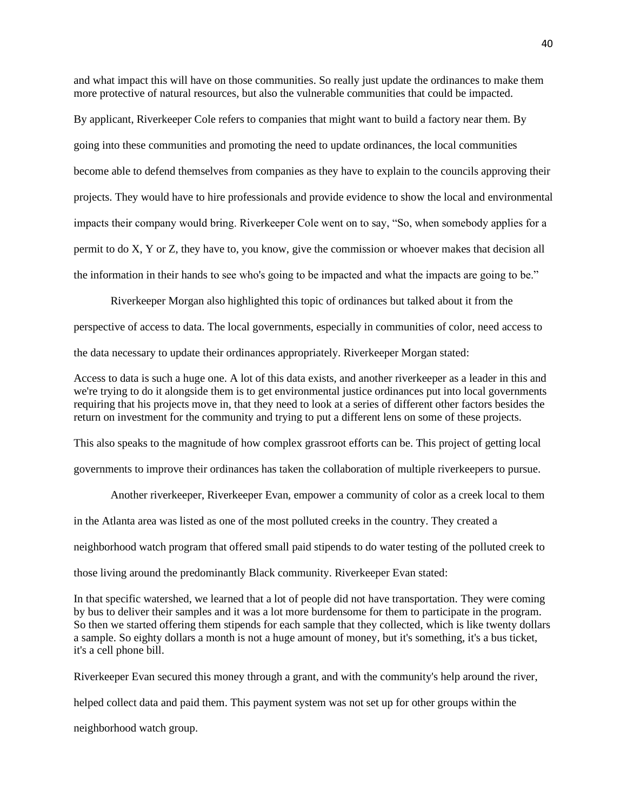and what impact this will have on those communities. So really just update the ordinances to make them more protective of natural resources, but also the vulnerable communities that could be impacted.

By applicant, Riverkeeper Cole refers to companies that might want to build a factory near them. By going into these communities and promoting the need to update ordinances, the local communities become able to defend themselves from companies as they have to explain to the councils approving their projects. They would have to hire professionals and provide evidence to show the local and environmental impacts their company would bring. Riverkeeper Cole went on to say, "So, when somebody applies for a permit to do X, Y or Z, they have to, you know, give the commission or whoever makes that decision all the information in their hands to see who's going to be impacted and what the impacts are going to be."

Riverkeeper Morgan also highlighted this topic of ordinances but talked about it from the perspective of access to data. The local governments, especially in communities of color, need access to the data necessary to update their ordinances appropriately. Riverkeeper Morgan stated:

Access to data is such a huge one. A lot of this data exists, and another riverkeeper as a leader in this and we're trying to do it alongside them is to get environmental justice ordinances put into local governments requiring that his projects move in, that they need to look at a series of different other factors besides the return on investment for the community and trying to put a different lens on some of these projects.

This also speaks to the magnitude of how complex grassroot efforts can be. This project of getting local

governments to improve their ordinances has taken the collaboration of multiple riverkeepers to pursue.

Another riverkeeper, Riverkeeper Evan, empower a community of color as a creek local to them

in the Atlanta area was listed as one of the most polluted creeks in the country. They created a

neighborhood watch program that offered small paid stipends to do water testing of the polluted creek to

those living around the predominantly Black community. Riverkeeper Evan stated:

In that specific watershed, we learned that a lot of people did not have transportation. They were coming by bus to deliver their samples and it was a lot more burdensome for them to participate in the program. So then we started offering them stipends for each sample that they collected, which is like twenty dollars a sample. So eighty dollars a month is not a huge amount of money, but it's something, it's a bus ticket, it's a cell phone bill.

Riverkeeper Evan secured this money through a grant, and with the community's help around the river,

helped collect data and paid them. This payment system was not set up for other groups within the

neighborhood watch group.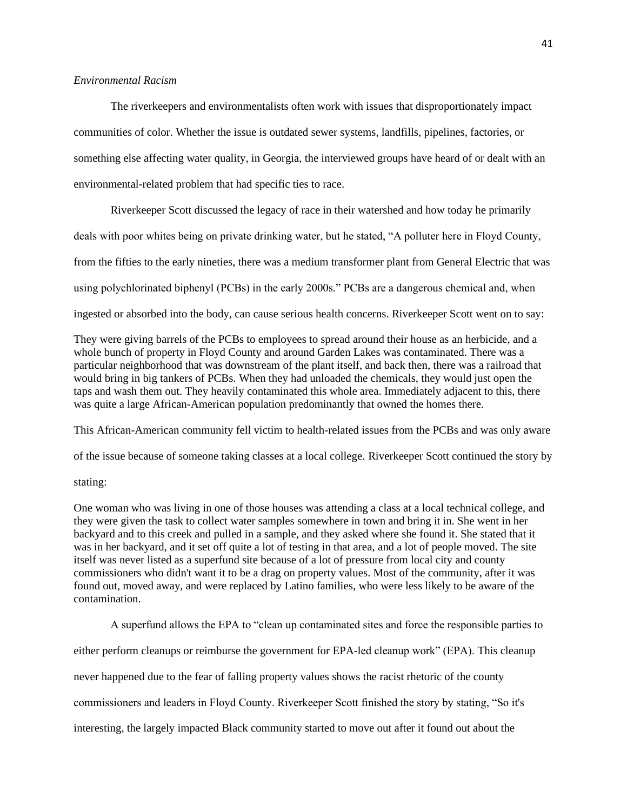## *Environmental Racism*

The riverkeepers and environmentalists often work with issues that disproportionately impact communities of color. Whether the issue is outdated sewer systems, landfills, pipelines, factories, or something else affecting water quality, in Georgia, the interviewed groups have heard of or dealt with an environmental-related problem that had specific ties to race.

Riverkeeper Scott discussed the legacy of race in their watershed and how today he primarily deals with poor whites being on private drinking water, but he stated, "A polluter here in Floyd County, from the fifties to the early nineties, there was a medium transformer plant from General Electric that was using polychlorinated biphenyl (PCBs) in the early 2000s." PCBs are a dangerous chemical and, when ingested or absorbed into the body, can cause serious health concerns. Riverkeeper Scott went on to say:

They were giving barrels of the PCBs to employees to spread around their house as an herbicide, and a whole bunch of property in Floyd County and around Garden Lakes was contaminated. There was a particular neighborhood that was downstream of the plant itself, and back then, there was a railroad that would bring in big tankers of PCBs. When they had unloaded the chemicals, they would just open the taps and wash them out. They heavily contaminated this whole area. Immediately adjacent to this, there was quite a large African-American population predominantly that owned the homes there.

This African-American community fell victim to health-related issues from the PCBs and was only aware

of the issue because of someone taking classes at a local college. Riverkeeper Scott continued the story by

# stating:

One woman who was living in one of those houses was attending a class at a local technical college, and they were given the task to collect water samples somewhere in town and bring it in. She went in her backyard and to this creek and pulled in a sample, and they asked where she found it. She stated that it was in her backyard, and it set off quite a lot of testing in that area, and a lot of people moved. The site itself was never listed as a superfund site because of a lot of pressure from local city and county commissioners who didn't want it to be a drag on property values. Most of the community, after it was found out, moved away, and were replaced by Latino families, who were less likely to be aware of the contamination.

A superfund allows the EPA to "clean up contaminated sites and force the responsible parties to

either perform cleanups or reimburse the government for EPA-led cleanup work" (EPA). This cleanup

never happened due to the fear of falling property values shows the racist rhetoric of the county

commissioners and leaders in Floyd County. Riverkeeper Scott finished the story by stating, "So it's

interesting, the largely impacted Black community started to move out after it found out about the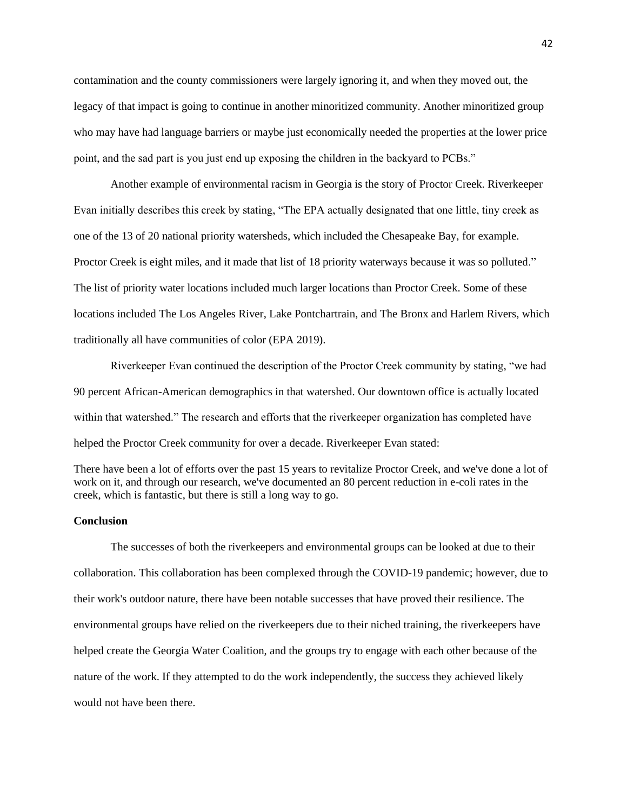contamination and the county commissioners were largely ignoring it, and when they moved out, the legacy of that impact is going to continue in another minoritized community. Another minoritized group who may have had language barriers or maybe just economically needed the properties at the lower price point, and the sad part is you just end up exposing the children in the backyard to PCBs."

Another example of environmental racism in Georgia is the story of Proctor Creek. Riverkeeper Evan initially describes this creek by stating, "The EPA actually designated that one little, tiny creek as one of the 13 of 20 national priority watersheds, which included the Chesapeake Bay, for example. Proctor Creek is eight miles, and it made that list of 18 priority waterways because it was so polluted." The list of priority water locations included much larger locations than Proctor Creek. Some of these locations included The Los Angeles River, Lake Pontchartrain, and The Bronx and Harlem Rivers, which traditionally all have communities of color (EPA 2019).

Riverkeeper Evan continued the description of the Proctor Creek community by stating, "we had 90 percent African-American demographics in that watershed. Our downtown office is actually located within that watershed." The research and efforts that the riverkeeper organization has completed have helped the Proctor Creek community for over a decade. Riverkeeper Evan stated:

There have been a lot of efforts over the past 15 years to revitalize Proctor Creek, and we've done a lot of work on it, and through our research, we've documented an 80 percent reduction in e-coli rates in the creek, which is fantastic, but there is still a long way to go.

# **Conclusion**

The successes of both the riverkeepers and environmental groups can be looked at due to their collaboration. This collaboration has been complexed through the COVID-19 pandemic; however, due to their work's outdoor nature, there have been notable successes that have proved their resilience. The environmental groups have relied on the riverkeepers due to their niched training, the riverkeepers have helped create the Georgia Water Coalition, and the groups try to engage with each other because of the nature of the work. If they attempted to do the work independently, the success they achieved likely would not have been there.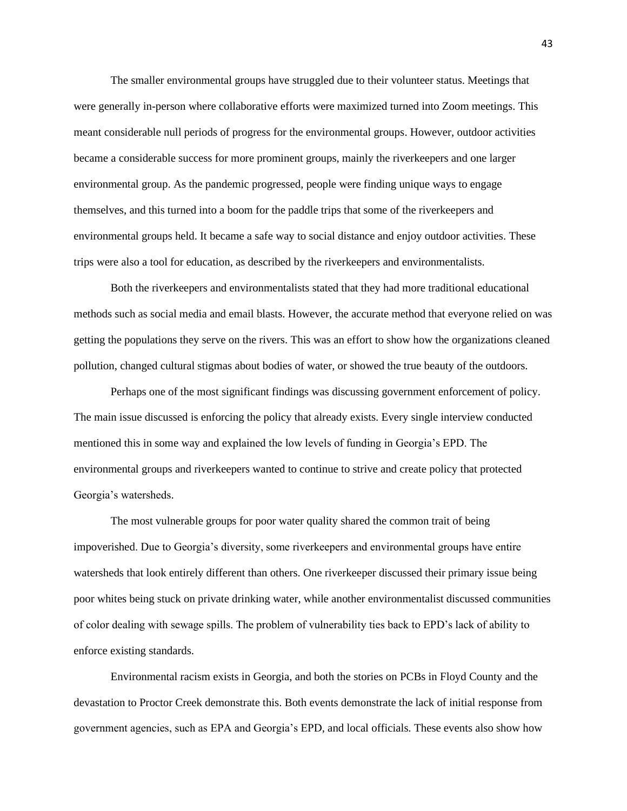The smaller environmental groups have struggled due to their volunteer status. Meetings that were generally in-person where collaborative efforts were maximized turned into Zoom meetings. This meant considerable null periods of progress for the environmental groups. However, outdoor activities became a considerable success for more prominent groups, mainly the riverkeepers and one larger environmental group. As the pandemic progressed, people were finding unique ways to engage themselves, and this turned into a boom for the paddle trips that some of the riverkeepers and environmental groups held. It became a safe way to social distance and enjoy outdoor activities. These trips were also a tool for education, as described by the riverkeepers and environmentalists.

Both the riverkeepers and environmentalists stated that they had more traditional educational methods such as social media and email blasts. However, the accurate method that everyone relied on was getting the populations they serve on the rivers. This was an effort to show how the organizations cleaned pollution, changed cultural stigmas about bodies of water, or showed the true beauty of the outdoors.

Perhaps one of the most significant findings was discussing government enforcement of policy. The main issue discussed is enforcing the policy that already exists. Every single interview conducted mentioned this in some way and explained the low levels of funding in Georgia's EPD. The environmental groups and riverkeepers wanted to continue to strive and create policy that protected Georgia's watersheds.

The most vulnerable groups for poor water quality shared the common trait of being impoverished. Due to Georgia's diversity, some riverkeepers and environmental groups have entire watersheds that look entirely different than others. One riverkeeper discussed their primary issue being poor whites being stuck on private drinking water, while another environmentalist discussed communities of color dealing with sewage spills. The problem of vulnerability ties back to EPD's lack of ability to enforce existing standards.

Environmental racism exists in Georgia, and both the stories on PCBs in Floyd County and the devastation to Proctor Creek demonstrate this. Both events demonstrate the lack of initial response from government agencies, such as EPA and Georgia's EPD, and local officials. These events also show how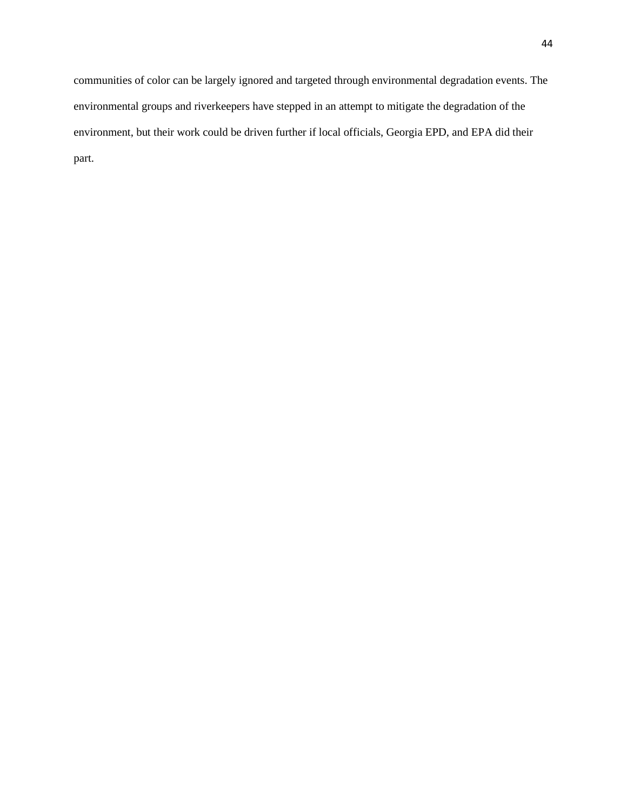communities of color can be largely ignored and targeted through environmental degradation events. The environmental groups and riverkeepers have stepped in an attempt to mitigate the degradation of the environment, but their work could be driven further if local officials, Georgia EPD, and EPA did their part.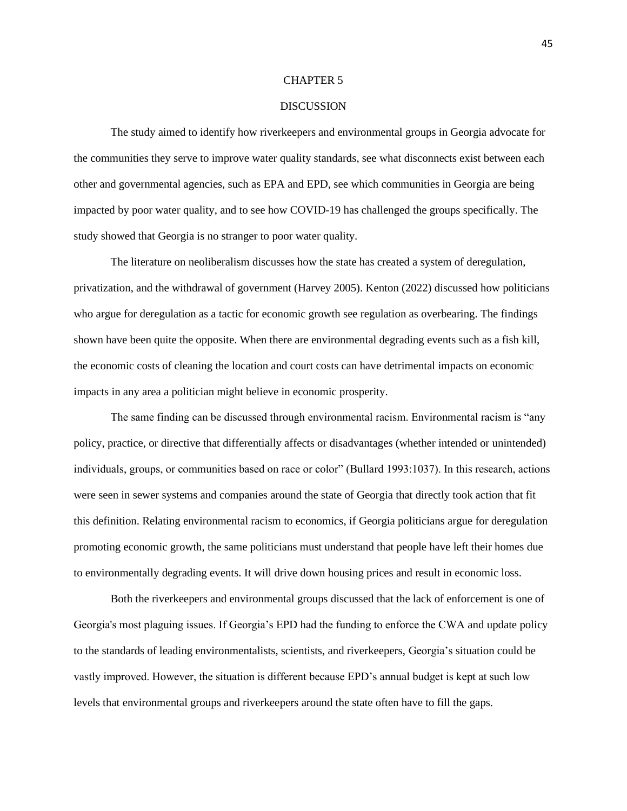#### CHAPTER 5

# DISCUSSION

The study aimed to identify how riverkeepers and environmental groups in Georgia advocate for the communities they serve to improve water quality standards, see what disconnects exist between each other and governmental agencies, such as EPA and EPD, see which communities in Georgia are being impacted by poor water quality, and to see how COVID-19 has challenged the groups specifically. The study showed that Georgia is no stranger to poor water quality.

The literature on neoliberalism discusses how the state has created a system of deregulation, privatization, and the withdrawal of government (Harvey 2005). Kenton (2022) discussed how politicians who argue for deregulation as a tactic for economic growth see regulation as overbearing. The findings shown have been quite the opposite. When there are environmental degrading events such as a fish kill, the economic costs of cleaning the location and court costs can have detrimental impacts on economic impacts in any area a politician might believe in economic prosperity.

The same finding can be discussed through environmental racism. Environmental racism is "any policy, practice, or directive that differentially affects or disadvantages (whether intended or unintended) individuals, groups, or communities based on race or color" (Bullard 1993:1037). In this research, actions were seen in sewer systems and companies around the state of Georgia that directly took action that fit this definition. Relating environmental racism to economics, if Georgia politicians argue for deregulation promoting economic growth, the same politicians must understand that people have left their homes due to environmentally degrading events. It will drive down housing prices and result in economic loss.

Both the riverkeepers and environmental groups discussed that the lack of enforcement is one of Georgia's most plaguing issues. If Georgia's EPD had the funding to enforce the CWA and update policy to the standards of leading environmentalists, scientists, and riverkeepers, Georgia's situation could be vastly improved. However, the situation is different because EPD's annual budget is kept at such low levels that environmental groups and riverkeepers around the state often have to fill the gaps.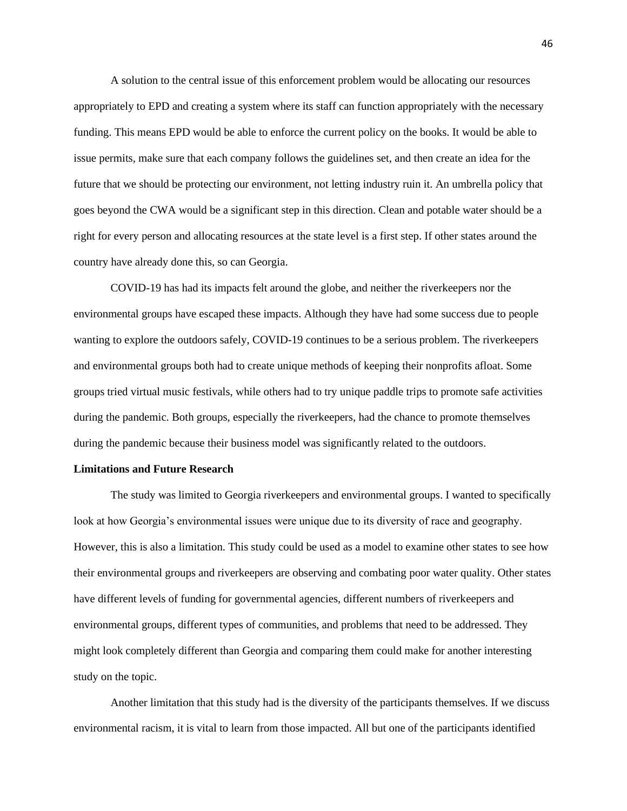A solution to the central issue of this enforcement problem would be allocating our resources appropriately to EPD and creating a system where its staff can function appropriately with the necessary funding. This means EPD would be able to enforce the current policy on the books. It would be able to issue permits, make sure that each company follows the guidelines set, and then create an idea for the future that we should be protecting our environment, not letting industry ruin it. An umbrella policy that goes beyond the CWA would be a significant step in this direction. Clean and potable water should be a right for every person and allocating resources at the state level is a first step. If other states around the country have already done this, so can Georgia.

COVID-19 has had its impacts felt around the globe, and neither the riverkeepers nor the environmental groups have escaped these impacts. Although they have had some success due to people wanting to explore the outdoors safely, COVID-19 continues to be a serious problem. The riverkeepers and environmental groups both had to create unique methods of keeping their nonprofits afloat. Some groups tried virtual music festivals, while others had to try unique paddle trips to promote safe activities during the pandemic. Both groups, especially the riverkeepers, had the chance to promote themselves during the pandemic because their business model was significantly related to the outdoors.

# **Limitations and Future Research**

The study was limited to Georgia riverkeepers and environmental groups. I wanted to specifically look at how Georgia's environmental issues were unique due to its diversity of race and geography. However, this is also a limitation. This study could be used as a model to examine other states to see how their environmental groups and riverkeepers are observing and combating poor water quality. Other states have different levels of funding for governmental agencies, different numbers of riverkeepers and environmental groups, different types of communities, and problems that need to be addressed. They might look completely different than Georgia and comparing them could make for another interesting study on the topic.

Another limitation that this study had is the diversity of the participants themselves. If we discuss environmental racism, it is vital to learn from those impacted. All but one of the participants identified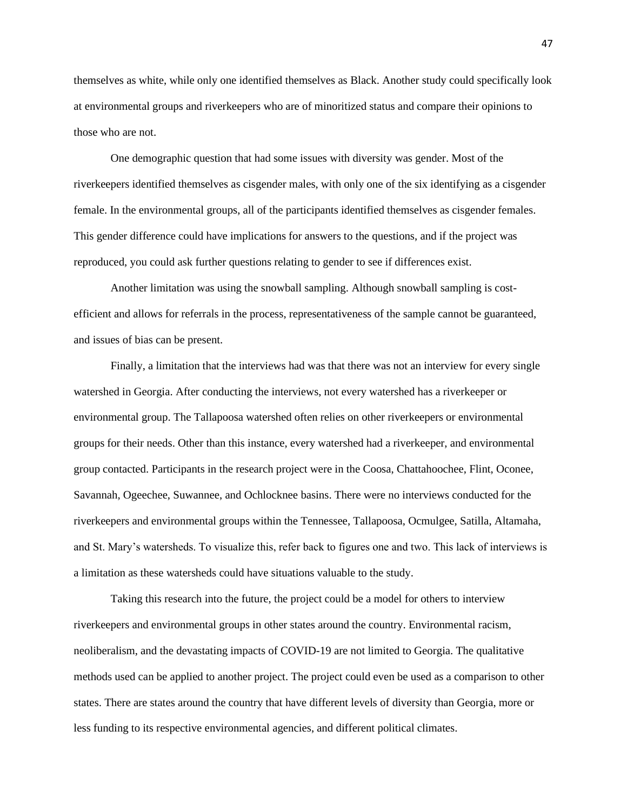themselves as white, while only one identified themselves as Black. Another study could specifically look at environmental groups and riverkeepers who are of minoritized status and compare their opinions to those who are not.

One demographic question that had some issues with diversity was gender. Most of the riverkeepers identified themselves as cisgender males, with only one of the six identifying as a cisgender female. In the environmental groups, all of the participants identified themselves as cisgender females. This gender difference could have implications for answers to the questions, and if the project was reproduced, you could ask further questions relating to gender to see if differences exist.

Another limitation was using the snowball sampling. Although snowball sampling is costefficient and allows for referrals in the process, representativeness of the sample cannot be guaranteed, and issues of bias can be present.

Finally, a limitation that the interviews had was that there was not an interview for every single watershed in Georgia. After conducting the interviews, not every watershed has a riverkeeper or environmental group. The Tallapoosa watershed often relies on other riverkeepers or environmental groups for their needs. Other than this instance, every watershed had a riverkeeper, and environmental group contacted. Participants in the research project were in the Coosa, Chattahoochee, Flint, Oconee, Savannah, Ogeechee, Suwannee, and Ochlocknee basins. There were no interviews conducted for the riverkeepers and environmental groups within the Tennessee, Tallapoosa, Ocmulgee, Satilla, Altamaha, and St. Mary's watersheds. To visualize this, refer back to figures one and two. This lack of interviews is a limitation as these watersheds could have situations valuable to the study.

Taking this research into the future, the project could be a model for others to interview riverkeepers and environmental groups in other states around the country. Environmental racism, neoliberalism, and the devastating impacts of COVID-19 are not limited to Georgia. The qualitative methods used can be applied to another project. The project could even be used as a comparison to other states. There are states around the country that have different levels of diversity than Georgia, more or less funding to its respective environmental agencies, and different political climates.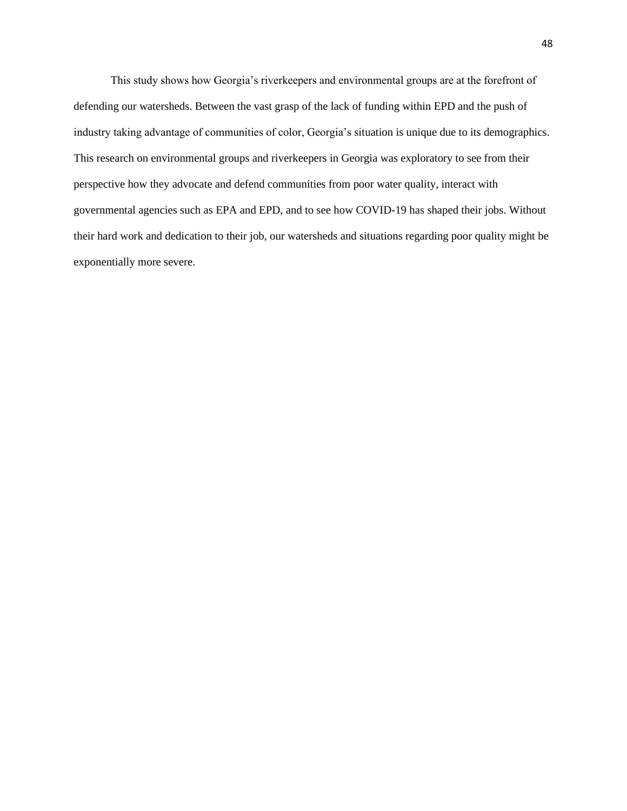This study shows how Georgia's riverkeepers and environmental groups are at the forefront of defending our watersheds. Between the vast grasp of the lack of funding within EPD and the push of industry taking advantage of communities of color, Georgia's situation is unique due to its demographics. This research on environmental groups and riverkeepers in Georgia was exploratory to see from their perspective how they advocate and defend communities from poor water quality, interact with governmental agencies such as EPA and EPD, and to see how COVID-19 has shaped their jobs. Without their hard work and dedication to their job, our watersheds and situations regarding poor quality might be exponentially more severe.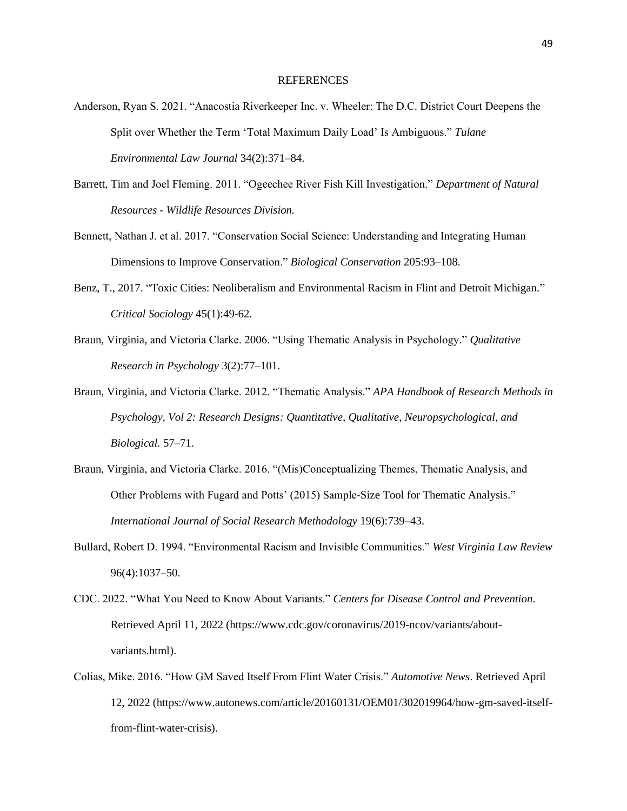#### **REFERENCES**

- Anderson, Ryan S. 2021. "Anacostia Riverkeeper Inc. v. Wheeler: The D.C. District Court Deepens the Split over Whether the Term 'Total Maximum Daily Load' Is Ambiguous." *Tulane Environmental Law Journal* 34(2):371–84.
- Barrett, Tim and Joel Fleming. 2011. "Ogeechee River Fish Kill Investigation." *Department of Natural Resources - Wildlife Resources Division.*
- Bennett, Nathan J. et al. 2017. "Conservation Social Science: Understanding and Integrating Human Dimensions to Improve Conservation." *Biological Conservation* 205:93–108.
- Benz, T., 2017. "Toxic Cities: Neoliberalism and Environmental Racism in Flint and Detroit Michigan." *Critical Sociology* 45(1):49-62.
- Braun, Virginia, and Victoria Clarke. 2006. "Using Thematic Analysis in Psychology." *Qualitative Research in Psychology* 3(2):77–101.
- Braun, Virginia, and Victoria Clarke. 2012. "Thematic Analysis." *APA Handbook of Research Methods in Psychology, Vol 2: Research Designs: Quantitative, Qualitative, Neuropsychological, and Biological.* 57–71.
- Braun, Virginia, and Victoria Clarke. 2016. "(Mis)Conceptualizing Themes, Thematic Analysis, and Other Problems with Fugard and Potts' (2015) Sample-Size Tool for Thematic Analysis." *International Journal of Social Research Methodology* 19(6):739–43.
- Bullard, Robert D. 1994. "Environmental Racism and Invisible Communities." *West Virginia Law Review* 96(4):1037–50.
- CDC. 2022. "What You Need to Know About Variants." *Centers for Disease Control and Prevention*. Retrieved April 11, 2022 (https://www.cdc.gov/coronavirus/2019-ncov/variants/aboutvariants.html).
- Colias, Mike. 2016. "How GM Saved Itself From Flint Water Crisis." *Automotive News*. Retrieved April 12, 2022 (https://www.autonews.com/article/20160131/OEM01/302019964/how-gm-saved-itselffrom-flint-water-crisis).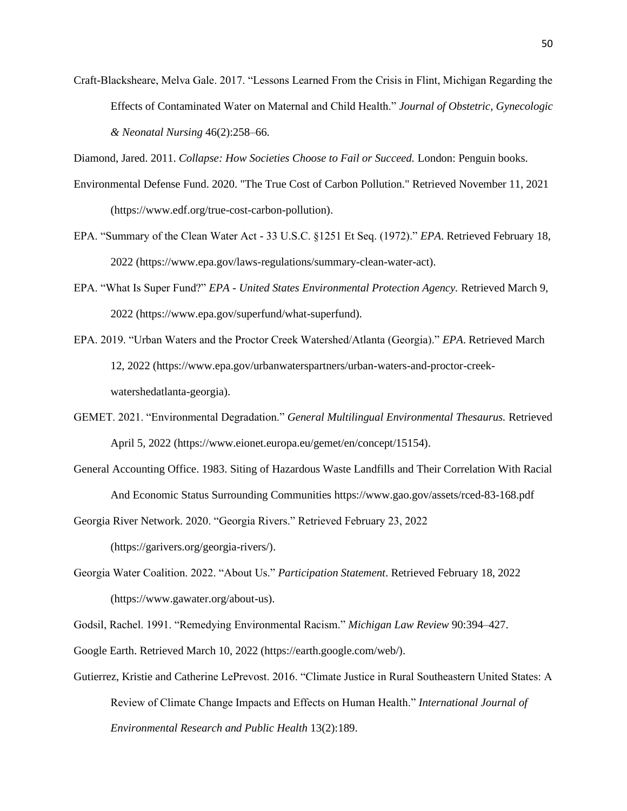Craft-Blacksheare, Melva Gale. 2017. "Lessons Learned From the Crisis in Flint, Michigan Regarding the Effects of Contaminated Water on Maternal and Child Health." *Journal of Obstetric, Gynecologic & Neonatal Nursing* 46(2):258–66.

Diamond, Jared. 2011. *Collapse: How Societies Choose to Fail or Succeed.* London: Penguin books.

- Environmental Defense Fund. 2020. "The True Cost of Carbon Pollution." Retrieved November 11, 2021 (https://www.edf.org/true-cost-carbon-pollution).
- EPA. "Summary of the Clean Water Act 33 U.S.C. §1251 Et Seq. (1972)." *EPA*. Retrieved February 18, 2022 (https://www.epa.gov/laws-regulations/summary-clean-water-act).
- EPA. "What Is Super Fund?" *EPA - United States Environmental Protection Agency.* Retrieved March 9, 2022 (https://www.epa.gov/superfund/what-superfund).
- EPA. 2019. "Urban Waters and the Proctor Creek Watershed/Atlanta (Georgia)." *EPA*. Retrieved March 12, 2022 (https://www.epa.gov/urbanwaterspartners/urban-waters-and-proctor-creekwatershedatlanta-georgia).
- GEMET. 2021. "Environmental Degradation." *General Multilingual Environmental Thesaurus.* Retrieved April 5, 2022 (https://www.eionet.europa.eu/gemet/en/concept/15154).
- General Accounting Office. 1983. Siting of Hazardous Waste Landfills and Their Correlation With Racial And Economic Status Surrounding Communities https://www.gao.gov/assets/rced-83-168.pdf

Georgia River Network. 2020. "Georgia Rivers." Retrieved February 23, 2022

(https://garivers.org/georgia-rivers/).

Georgia Water Coalition. 2022. "About Us." *Participation Statement*. Retrieved February 18, 2022 (https://www.gawater.org/about-us).

Godsil, Rachel. 1991. "Remedying Environmental Racism." *Michigan Law Review* 90:394–427.

Google Earth. Retrieved March 10, 2022 (https://earth.google.com/web/).

Gutierrez, Kristie and Catherine LePrevost. 2016. "Climate Justice in Rural Southeastern United States: A Review of Climate Change Impacts and Effects on Human Health." *International Journal of Environmental Research and Public Health* 13(2):189.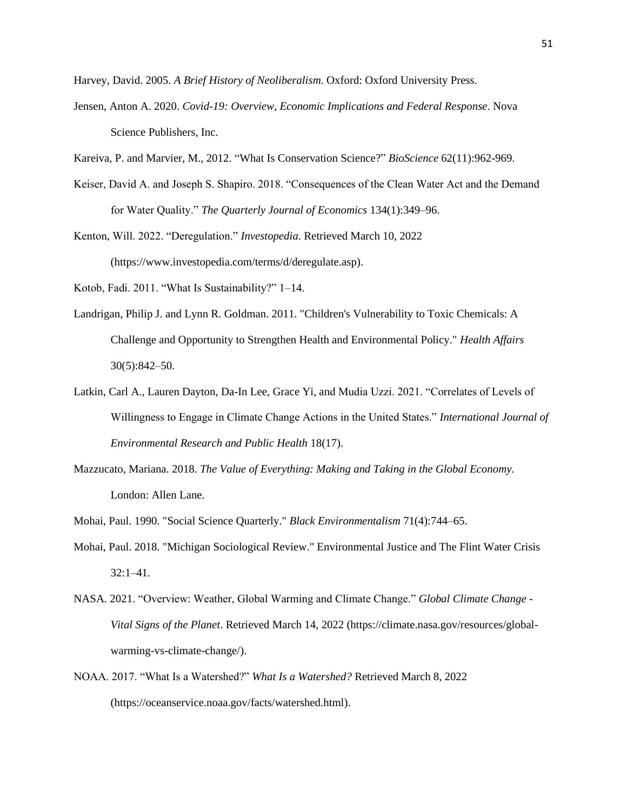Harvey, David. 2005. *A Brief History of Neoliberalism*. Oxford: Oxford University Press.

- Jensen, Anton A. 2020. *Covid-19: Overview, Economic Implications and Federal Response*. Nova Science Publishers, Inc.
- Kareiva, P. and Marvier, M., 2012. "What Is Conservation Science?" *BioScience* 62(11):962-969.
- Keiser, David A. and Joseph S. Shapiro. 2018. "Consequences of the Clean Water Act and the Demand for Water Quality." *The Quarterly Journal of Economics* 134(1):349–96.
- Kenton, Will. 2022. "Deregulation." *Investopedia*. Retrieved March 10, 2022 (https://www.investopedia.com/terms/d/deregulate.asp).
- Kotob, Fadi. 2011. "What Is Sustainability?" 1–14.
- Landrigan, Philip J. and Lynn R. Goldman. 2011. "Children's Vulnerability to Toxic Chemicals: A Challenge and Opportunity to Strengthen Health and Environmental Policy." *Health Affairs*  30(5):842–50.
- Latkin, Carl A., Lauren Dayton, Da-In Lee, Grace Yi, and Mudia Uzzi. 2021. "Correlates of Levels of Willingness to Engage in Climate Change Actions in the United States." *International Journal of Environmental Research and Public Health* 18(17).
- Mazzucato, Mariana. 2018. *The Value of Everything: Making and Taking in the Global Economy.* London: Allen Lane.
- Mohai, Paul. 1990. "Social Science Quarterly." *Black Environmentalism* 71(4):744–65.
- Mohai, Paul. 2018. "Michigan Sociological Review." Environmental Justice and The Flint Water Crisis 32:1–41.
- NASA. 2021. "Overview: Weather, Global Warming and Climate Change." *Global Climate Change - Vital Signs of the Planet*. Retrieved March 14, 2022 (https://climate.nasa.gov/resources/globalwarming-vs-climate-change/).
- NOAA. 2017. "What Is a Watershed?" *What Is a Watershed?* Retrieved March 8, 2022 (https://oceanservice.noaa.gov/facts/watershed.html).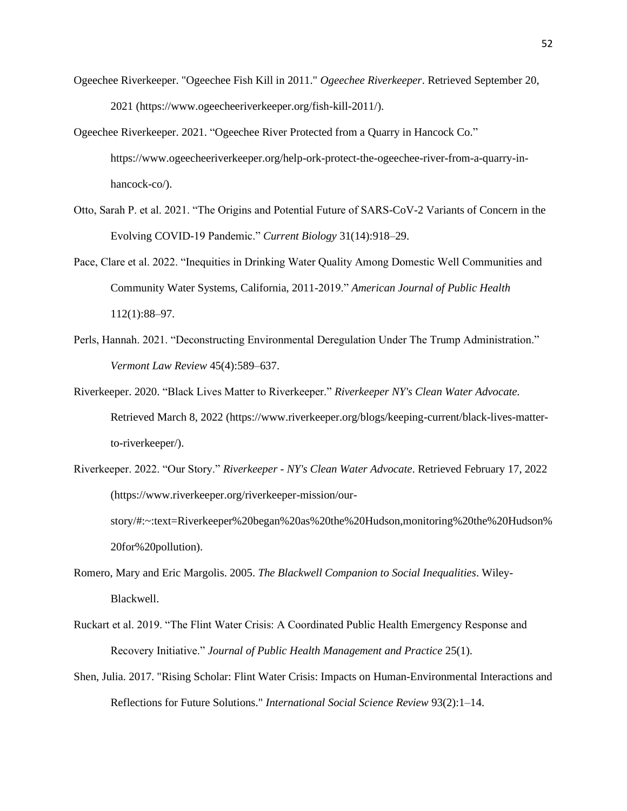- Ogeechee Riverkeeper. "Ogeechee Fish Kill in 2011." *Ogeechee Riverkeeper*. Retrieved September 20, 2021 (https://www.ogeecheeriverkeeper.org/fish-kill-2011/).
- Ogeechee Riverkeeper. 2021. "Ogeechee River Protected from a Quarry in Hancock Co." https://www.ogeecheeriverkeeper.org/help-ork-protect-the-ogeechee-river-from-a-quarry-inhancock-co/).
- Otto, Sarah P. et al. 2021. "The Origins and Potential Future of SARS-CoV-2 Variants of Concern in the Evolving COVID-19 Pandemic." *Current Biology* 31(14):918–29.
- Pace, Clare et al. 2022. "Inequities in Drinking Water Quality Among Domestic Well Communities and Community Water Systems, California, 2011-2019." *American Journal of Public Health* 112(1):88–97.
- Perls, Hannah. 2021. "Deconstructing Environmental Deregulation Under The Trump Administration." *Vermont Law Review* 45(4):589–637.
- Riverkeeper. 2020. "Black Lives Matter to Riverkeeper." *Riverkeeper NY's Clean Water Advocate.* Retrieved March 8, 2022 (https://www.riverkeeper.org/blogs/keeping-current/black-lives-matterto-riverkeeper/).
- Riverkeeper. 2022. "Our Story." *Riverkeeper - NY's Clean Water Advocate*. Retrieved February 17, 2022 (https://www.riverkeeper.org/riverkeeper-mission/ourstory/#:~:text=Riverkeeper%20began%20as%20the%20Hudson,monitoring%20the%20Hudson% 20for%20pollution).
- Romero, Mary and Eric Margolis. 2005. *The Blackwell Companion to Social Inequalities*. Wiley-Blackwell.
- Ruckart et al. 2019. "The Flint Water Crisis: A Coordinated Public Health Emergency Response and Recovery Initiative." *Journal of Public Health Management and Practice* 25(1).
- Shen, Julia. 2017. "Rising Scholar: Flint Water Crisis: Impacts on Human-Environmental Interactions and Reflections for Future Solutions." *International Social Science Review* 93(2):1–14.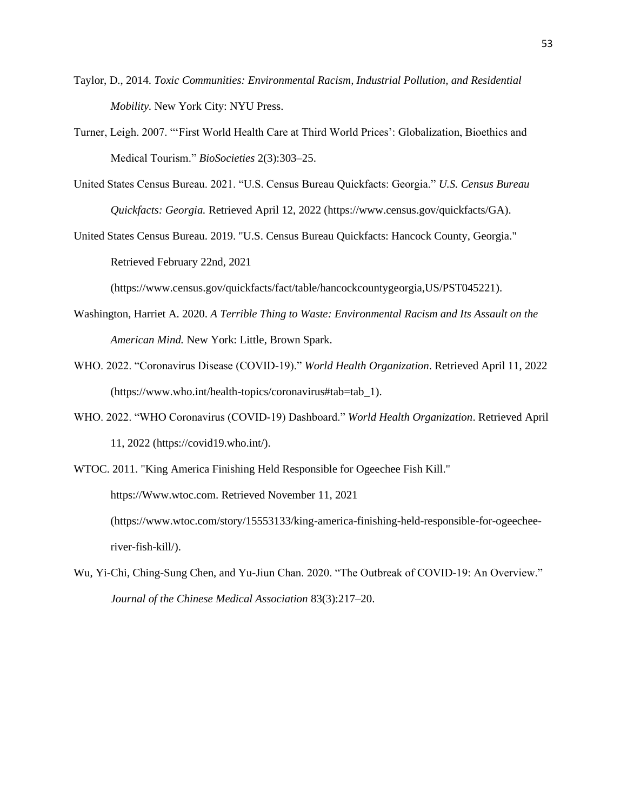- Taylor, D., 2014. *Toxic Communities: Environmental Racism, Industrial Pollution, and Residential Mobility.* New York City: NYU Press.
- Turner, Leigh. 2007. "'First World Health Care at Third World Prices': Globalization, Bioethics and Medical Tourism." *BioSocieties* 2(3):303–25.
- United States Census Bureau. 2021. "U.S. Census Bureau Quickfacts: Georgia." *U.S. Census Bureau Quickfacts: Georgia.* Retrieved April 12, 2022 (https://www.census.gov/quickfacts/GA).
- United States Census Bureau. 2019. "U.S. Census Bureau Quickfacts: Hancock County, Georgia." Retrieved February 22nd, 2021

(https://www.census.gov/quickfacts/fact/table/hancockcountygeorgia,US/PST045221).

- Washington, Harriet A. 2020. *A Terrible Thing to Waste: Environmental Racism and Its Assault on the American Mind.* New York: Little, Brown Spark.
- WHO. 2022. "Coronavirus Disease (COVID-19)." *World Health Organization*. Retrieved April 11, 2022 (https://www.who.int/health-topics/coronavirus#tab=tab\_1).
- WHO. 2022. "WHO Coronavirus (COVID-19) Dashboard." *World Health Organization*. Retrieved April 11, 2022 (https://covid19.who.int/).

WTOC. 2011. "King America Finishing Held Responsible for Ogeechee Fish Kill." https://Www.wtoc.com. Retrieved November 11, 2021 (https://www.wtoc.com/story/15553133/king-america-finishing-held-responsible-for-ogeecheeriver-fish-kill/).

Wu, Yi-Chi, Ching-Sung Chen, and Yu-Jiun Chan. 2020. "The Outbreak of COVID-19: An Overview." *Journal of the Chinese Medical Association* 83(3):217–20.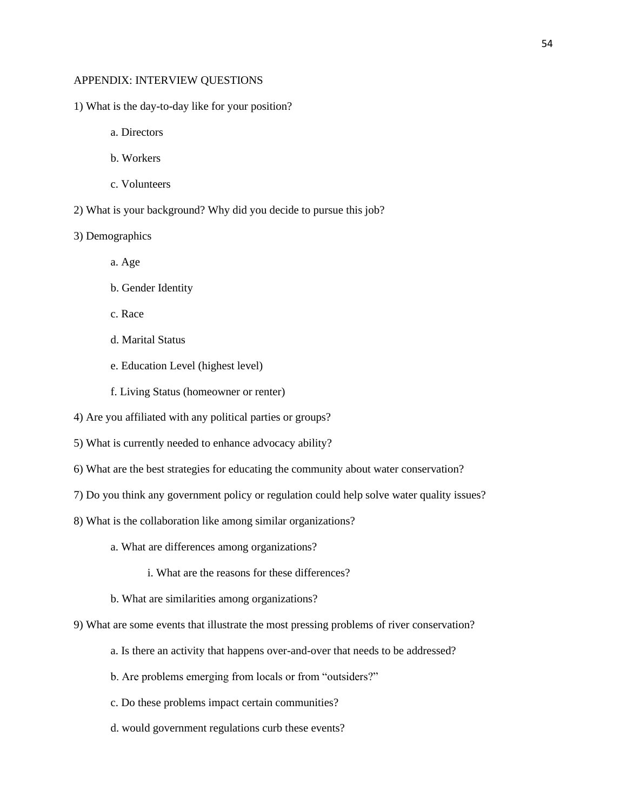#### APPENDIX: INTERVIEW QUESTIONS

- 1) What is the day-to-day like for your position?
	- a. Directors
	- b. Workers
	- c. Volunteers
- 2) What is your background? Why did you decide to pursue this job?
- 3) Demographics
	- a. Age
	- b. Gender Identity
	- c. Race
	- d. Marital Status
	- e. Education Level (highest level)
	- f. Living Status (homeowner or renter)
- 4) Are you affiliated with any political parties or groups?
- 5) What is currently needed to enhance advocacy ability?
- 6) What are the best strategies for educating the community about water conservation?
- 7) Do you think any government policy or regulation could help solve water quality issues?
- 8) What is the collaboration like among similar organizations?
	- a. What are differences among organizations?
		- i. What are the reasons for these differences?
	- b. What are similarities among organizations?
- 9) What are some events that illustrate the most pressing problems of river conservation?
	- a. Is there an activity that happens over-and-over that needs to be addressed?
	- b. Are problems emerging from locals or from "outsiders?"
	- c. Do these problems impact certain communities?
	- d. would government regulations curb these events?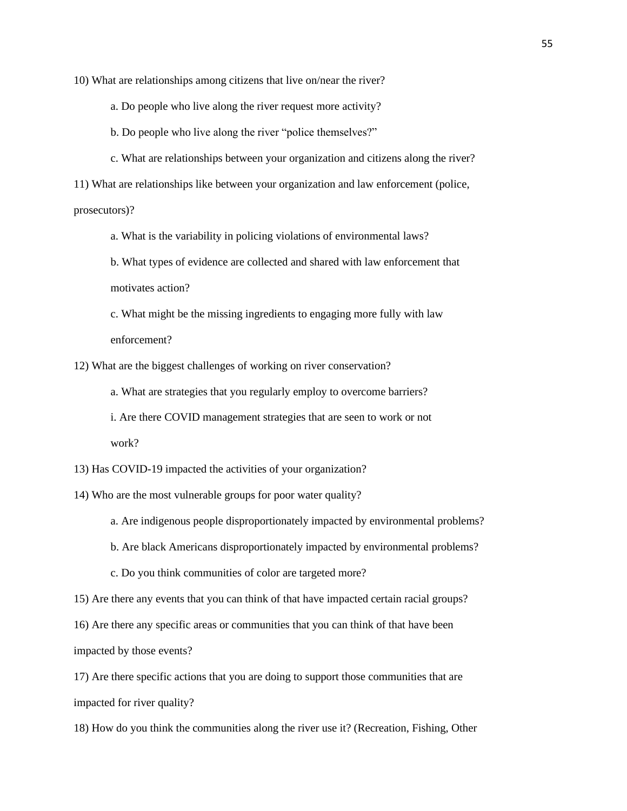10) What are relationships among citizens that live on/near the river?

a. Do people who live along the river request more activity?

b. Do people who live along the river "police themselves?"

c. What are relationships between your organization and citizens along the river?

11) What are relationships like between your organization and law enforcement (police,

prosecutors)?

a. What is the variability in policing violations of environmental laws?

b. What types of evidence are collected and shared with law enforcement that motivates action?

c. What might be the missing ingredients to engaging more fully with law enforcement?

12) What are the biggest challenges of working on river conservation?

a. What are strategies that you regularly employ to overcome barriers?

i. Are there COVID management strategies that are seen to work or not work?

13) Has COVID-19 impacted the activities of your organization?

14) Who are the most vulnerable groups for poor water quality?

a. Are indigenous people disproportionately impacted by environmental problems?

b. Are black Americans disproportionately impacted by environmental problems?

c. Do you think communities of color are targeted more?

15) Are there any events that you can think of that have impacted certain racial groups?

16) Are there any specific areas or communities that you can think of that have been impacted by those events?

17) Are there specific actions that you are doing to support those communities that are impacted for river quality?

18) How do you think the communities along the river use it? (Recreation, Fishing, Other